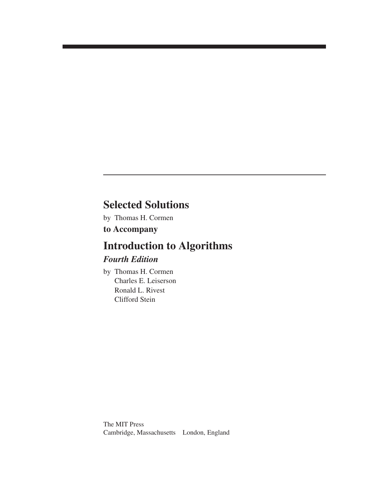## **Selected Solutions**

by Thomas H. Cormen

**to Accompany**

# **Introduction to Algorithms**

### *Fourth Edition*

by Thomas H. Cormen Charles E. Leiserson Ronald L. Rivest Clifford Stein

The MIT Press Cambridge, Massachusetts London, England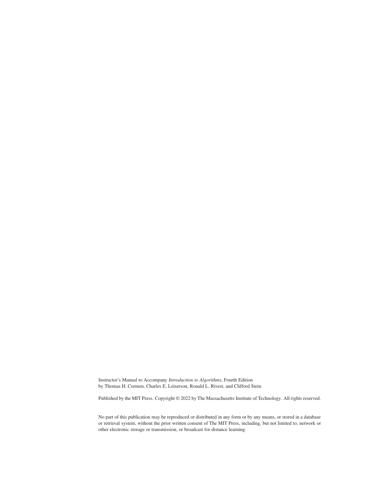Instructor's Manual to Accompany *Introduction to Algorithms*, Fourth Edition by Thomas H. Cormen, Charles E. Leiserson, Ronald L. Rivest, and Clifford Stein

Published by the MIT Press. Copyright © 2022 by The Massachusetts Institute of Technology. All rights reserved.

No part of this publication may be reproduced or distributed in any form or by any means, or stored in a database or retrieval system, without the prior written consent of The MIT Press, including, but not limited to, network or other electronic storage or transmission, or broadcast for distance learning.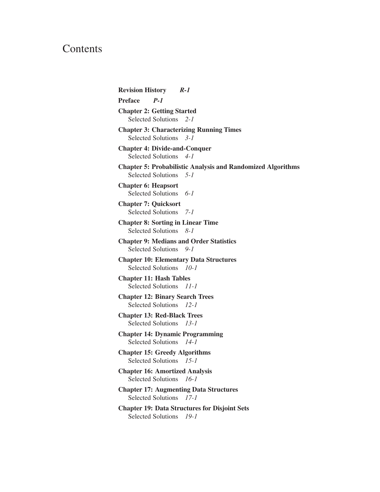### **Contents**

**Revision History** *R-1* **Preface** *P-1* **Chapter 2: Getting Started** Selected Solutions *2-1* **Chapter 3: Characterizing Running Times** Selected Solutions *3-1* **Chapter 4: Divide-and-Conquer** Selected Solutions *4-1* **Chapter 5: Probabilistic Analysis and Randomized Algorithms** Selected Solutions *5-1* **Chapter 6: Heapsort** Selected Solutions *6-1* **Chapter 7: Quicksort** Selected Solutions *7-1* **Chapter 8: Sorting in Linear Time** Selected Solutions *8-1* **Chapter 9: Medians and Order Statistics** Selected Solutions *9-1* **Chapter 10: Elementary Data Structures** Selected Solutions *10-1* **Chapter 11: Hash Tables** Selected Solutions *11-1* **Chapter 12: Binary Search Trees** Selected Solutions *12-1* **Chapter 13: Red-Black Trees** Selected Solutions *13-1* **Chapter 14: Dynamic Programming** Selected Solutions *14-1* **Chapter 15: Greedy Algorithms** Selected Solutions *15-1* **Chapter 16: Amortized Analysis** Selected Solutions *16-1* **Chapter 17: Augmenting Data Structures** Selected Solutions *17-1* **Chapter 19: Data Structures for Disjoint Sets** Selected Solutions *19-1*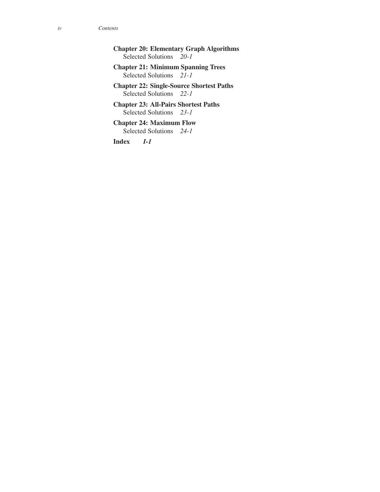**Chapter 20: Elementary Graph Algorithms** Selected Solutions *20-1*

**Chapter 21: Minimum Spanning Trees** Selected Solutions *21-1*

**Chapter 22: Single-Source Shortest Paths** Selected Solutions *22-1*

**Chapter 23: All-Pairs Shortest Paths** Selected Solutions *23-1*

**Chapter 24: Maximum Flow** Selected Solutions *24-1*

**Index** *I-1*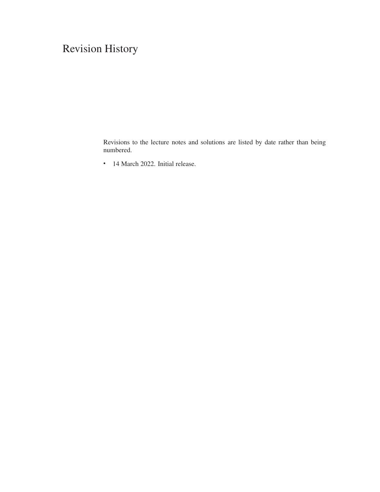# Revision History

Revisions to the lecture notes and solutions are listed by date rather than being numbered.

• 14 March 2022. Initial release.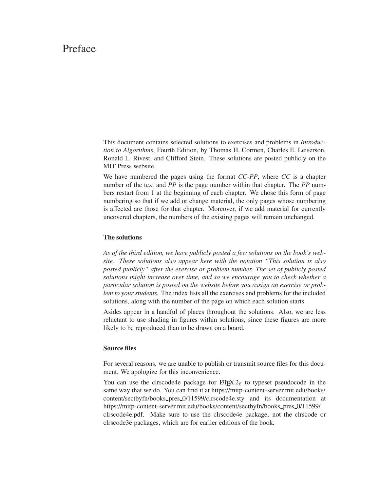## Preface

This document contains selected solutions to exercises and problems in *Introduction to Algorithms*, Fourth Edition, by Thomas H. Cormen, Charles E. Leiserson, Ronald L. Rivest, and Clifford Stein. These solutions are posted publicly on the MIT Press website.

We have numbered the pages using the format *CC-PP*, where *CC* is a chapter number of the text and *PP* is the page number within that chapter. The *PP* numbers restart from 1 at the beginning of each chapter. We chose this form of page numbering so that if we add or change material, the only pages whose numbering is affected are those for that chapter. Moreover, if we add material for currently uncovered chapters, the numbers of the existing pages will remain unchanged.

#### **The solutions**

*As of the third edition, we have publicly posted a few solutions on the book's website. These solutions also appear here with the notation "This solution is also posted publicly" after the exercise or problem number. The set of publicly posted solutions might increase over time, and so we encourage you to check whether a particular solution is posted on the website before you assign an exercise or problem to your students.* The index lists all the exercises and problems for the included solutions, along with the number of the page on which each solution starts.

Asides appear in a handful of places throughout the solutions. Also, we are less reluctant to use shading in figures within solutions, since these figures are more likely to be reproduced than to be drawn on a board.

#### **Source files**

For several reasons, we are unable to publish or transmit source files for this document. We apologize for this inconvenience.

You can use the clrscode4e package for LATEX  $2\varepsilon$  to typeset pseudocode in the same way that we do. You can find it at https://mitp-content-server.mit.edu/books/ content/sectbyfn/books pres 0/11599/clrscode4e.sty and its documentation at https://mitp-content-server.mit.edu/books/content/sectbyfn/books pres 0/11599/ clrscode4e.pdf. Make sure to use the clrscode4e package, not the clrscode or clrscode3e packages, which are for earlier editions of the book.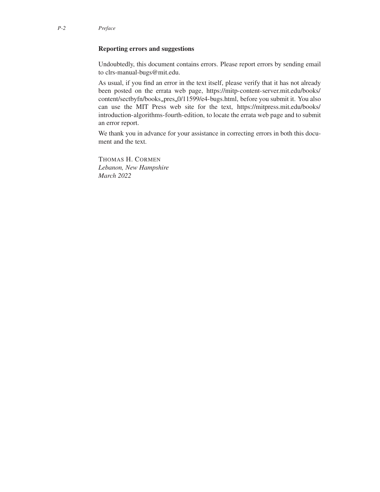#### **Reporting errors and suggestions**

Undoubtedly, this document contains errors. Please report errors by sending email to clrs-manual-bugs@mit.edu.

As usual, if you find an error in the text itself, please verify that it has not already been posted on the errata web page, https://mitp-content-server.mit.edu/books/ content/sectbyfn/books pres 0/11599/e4-bugs.html, before you submit it. You also can use the MIT Press web site for the text, https://mitpress.mit.edu/books/ introduction-algorithms-fourth-edition, to locate the errata web page and to submit an error report.

We thank you in advance for your assistance in correcting errors in both this document and the text.

THOMAS H. CORMEN *Lebanon, New Hampshire March 2022*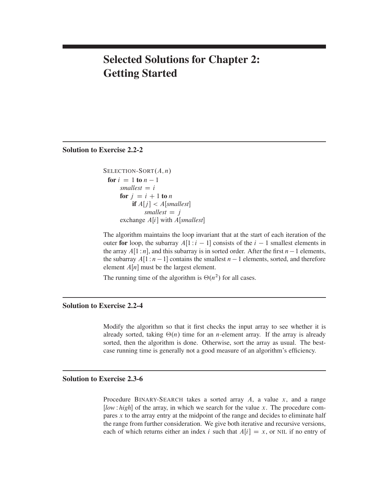# **Selected Solutions for Chapter 2: Getting Started**

**Solution to Exercise 2.2-2**

SELECTION-SORT $(A, n)$ **for**  $i = 1$  **to**  $n - 1$  $smallest = i$ **for**  $j = i + 1$  **to** n **if**  $A[j] < A$ *[smallest] smallest*  $=$  *j* exchange  $A[i]$  with  $A[smallest]$ 

The algorithm maintains the loop invariant that at the start of each iteration of the outer **for** loop, the subarray  $A[1:i-1]$  consists of the  $i-1$  smallest elements in the array  $A[1:n]$ , and this subarray is in sorted order. After the first  $n-1$  elements, the subarray  $A[1:n-1]$  contains the smallest  $n-1$  elements, sorted, and therefore element  $A[n]$  must be the largest element.

The running time of the algorithm is  $\Theta(n^2)$  for all cases.

#### **Solution to Exercise 2.2-4**

Modify the algorithm so that it first checks the input array to see whether it is already sorted, taking  $\Theta(n)$  time for an *n*-element array. If the array is already sorted, then the algorithm is done. Otherwise, sort the array as usual. The bestcase running time is generally not a good measure of an algorithm's efficiency.

#### **Solution to Exercise 2.3-6**

Procedure BINARY-SEARCH takes a sorted array  $A$ , a value  $x$ , and a range  $[low:high]$  of the array, in which we search for the value x. The procedure compares  $x$  to the array entry at the midpoint of the range and decides to eliminate half the range from further consideration. We give both iterative and recursive versions, each of which returns either an index i such that  $A[i] = x$ , or NIL if no entry of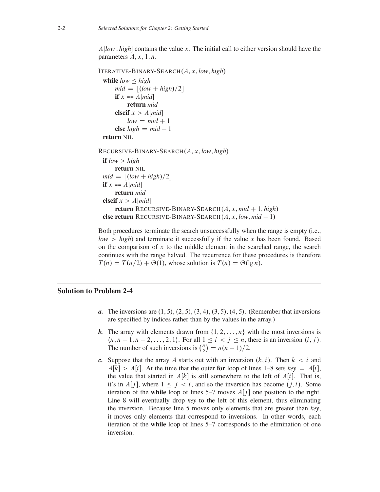$A[low:high]$  contains the value x. The initial call to either version should have the parameters  $A, x, 1, n$ .

```
ITERATIVE-BINARY-SEARCH(A, x, low, high)while low \leq highmid = |(low + high)/2|if x = A[mid]
         return mid
     elseif x > A[mid]
         low = mid + 1else high = mid - 1return NIL
RECURSIVE-BINARY-SEARCH.A; x; low; high/
 if low > high
     return NIL
 mid = |(low + high)/2|if x == A[mid]
     return mid
 elseif x > A[mid]
     return RECURSIVE-BINARY-SEARCH(A, x, mid + 1, high)else return RECURSIVE-BINARY-SEARCH(A, x, low, mid - 1)
```
Both procedures terminate the search unsuccessfully when the range is empty (i.e.,  $low > high$ ) and terminate it successfully if the value x has been found. Based on the comparison of  $x$  to the middle element in the searched range, the search continues with the range halved. The recurrence for these procedures is therefore  $T(n) = T(n/2) + \Theta(1)$ , whose solution is  $T(n) = \Theta(\lg n)$ .

#### **Solution to Problem 2-4**

- *a.* The inversions are  $(1, 5)$ ,  $(2, 5)$ ,  $(3, 4)$ ,  $(3, 5)$ ,  $(4, 5)$ . (Remember that inversions are specified by indices rather than by the values in the array.)
- *b***.** The array with elements drawn from  $\{1, 2, \ldots, n\}$  with the most inversions is  $\langle n, n-1, n-2, \ldots, 2, 1 \rangle$ . For all  $1 \leq i \leq j \leq n$ , there is an inversion  $(i, j)$ . The number of such inversions is  $\binom{n}{2}$  $n_{2}^{n}$ ) =  $n(n-1)/2$ .
- *c.* Suppose that the array A starts out with an inversion  $(k, i)$ . Then  $k < i$  and  $A[k] > A[i]$ . At the time that the outer **for** loop of lines 1–8 sets  $key = A[i]$ , the value that started in  $A[k]$  is still somewhere to the left of  $A[i]$ . That is, it's in  $A[j]$ , where  $1 \leq j \leq i$ , and so the inversion has become  $(j, i)$ . Some iteration of the **while** loop of lines  $5-7$  moves  $A[j]$  one position to the right. Line 8 will eventually drop *key* to the left of this element, thus eliminating the inversion. Because line 5 moves only elements that are greater than *key*, it moves only elements that correspond to inversions. In other words, each iteration of the **while** loop of lines 5–7 corresponds to the elimination of one inversion.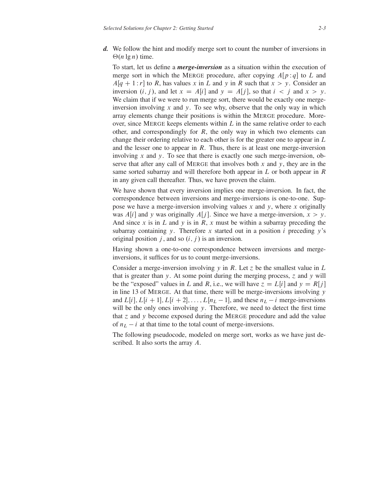*d.* We follow the hint and modify merge sort to count the number of inversions in  $\Theta(n \lg n)$  time.

To start, let us define a *merge-inversion* as a situation within the execution of merge sort in which the MERGE procedure, after copying  $A[p:q]$  to L and  $A[q + 1:r]$  to R, has values x in L and y in R such that  $x > y$ . Consider an inversion  $(i, j)$ , and let  $x = A[i]$  and  $y = A[j]$ , so that  $i < j$  and  $x > y$ . We claim that if we were to run merge sort, there would be exactly one mergeinversion involving x and y. To see why, observe that the only way in which array elements change their positions is within the MERGE procedure. Moreover, since MERGE keeps elements within  $L$  in the same relative order to each other, and correspondingly for  $R$ , the only way in which two elements can change their ordering relative to each other is for the greater one to appear in  $L$ and the lesser one to appear in  $R$ . Thus, there is at least one merge-inversion involving  $x$  and  $y$ . To see that there is exactly one such merge-inversion, observe that after any call of MERGE that involves both  $x$  and  $y$ , they are in the same sorted subarray and will therefore both appear in  $L$  or both appear in  $R$ in any given call thereafter. Thus, we have proven the claim.

We have shown that every inversion implies one merge-inversion. In fact, the correspondence between inversions and merge-inversions is one-to-one. Suppose we have a merge-inversion involving values x and y, where x originally was  $A[i]$  and y was originally  $A[i]$ . Since we have a merge-inversion,  $x > y$ . And since x is in L and y is in R, x must be within a subarray preceding the subarray containing y. Therefore x started out in a position i preceding y's original position  $j$ , and so  $(i, j)$  is an inversion.

Having shown a one-to-one correspondence between inversions and mergeinversions, it suffices for us to count merge-inversions.

Consider a merge-inversion involving  $y$  in R. Let  $z$  be the smallest value in L that is greater than  $y$ . At some point during the merging process,  $z$  and  $y$  will be the "exposed" values in L and R, i.e., we will have  $z = L[i]$  and  $y = R[j]$ in line 13 of MERGE. At that time, there will be merge-inversions involving  $y$ and  $L[i], L[i + 1], L[i + 2], \ldots, L[n_L - 1]$ , and these  $n_L - i$  merge-inversions will be the only ones involving  $y$ . Therefore, we need to detect the first time that  $\zeta$  and  $\gamma$  become exposed during the MERGE procedure and add the value of  $n<sub>L</sub> - i$  at that time to the total count of merge-inversions.

The following pseudocode, modeled on merge sort, works as we have just described. It also sorts the array A.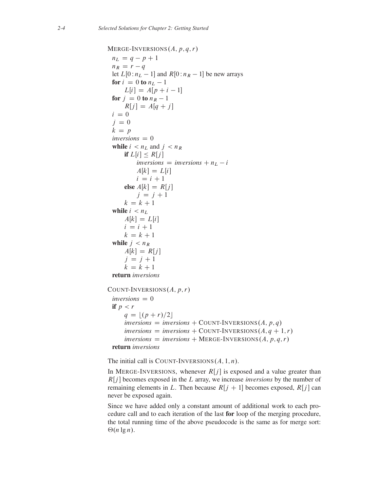MERGE-INVERSIONS $(A, p, q, r)$  $n_L = q - p + 1$  $n_R = r - q$ let  $L[0:n_L - 1]$  and  $R[0:n_R - 1]$  be new arrays **for**  $i = 0$  **to**  $n_L - 1$  $L[i] = A[p + i - 1]$ **for**  $j = 0$  **to**  $n_R - 1$  $R[i] = A[q + i]$  $i = 0$  $i = 0$  $k = p$  $inversions = 0$ **while**  $i < n_L$  and  $j < n_R$ **if**  $L[i] \leq R[j]$  $$  $A[k] = L[i]$  $i = i + 1$ **else**  $A[k] = R[j]$  $j = j + 1$  $k = k + 1$ **while**  $i < n_L$  $A[k] = L[i]$  $i = i + 1$  $k = k + 1$ **while**  $j < n_R$  $A[k] = R[j]$  $j = j + 1$  $k = k + 1$ **return** *inversions* COUNT-INVERSIONS $(A, p, r)$  $inversions = 0$ **if**  $p < r$  $q = |(p+r)/2|$  $$  $$  $$ **return** *inversions*

The initial call is COUNT-INVERSIONS  $(A, 1, n)$ .

In MERGE-INVERSIONS, whenever  $R[j]$  is exposed and a value greater than  $R[j]$  becomes exposed in the L array, we increase *inversions* by the number of remaining elements in L. Then because  $R[j + 1]$  becomes exposed,  $R[j]$  can never be exposed again.

Since we have added only a constant amount of additional work to each procedure call and to each iteration of the last **for** loop of the merging procedure, the total running time of the above pseudocode is the same as for merge sort:  $\Theta(n \lg n)$ .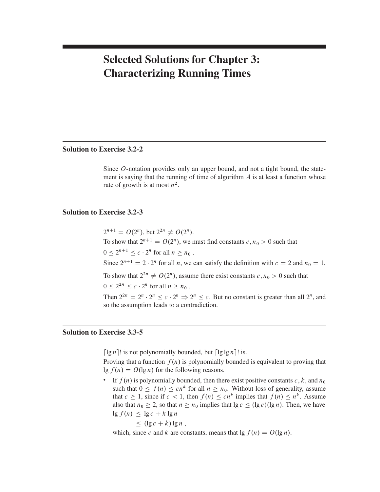# **Selected Solutions for Chapter 3: Characterizing Running Times**

#### **Solution to Exercise 3.2-2**

Since O-notation provides only an upper bound, and not a tight bound, the statement is saying that the running of time of algorithm  $\vec{A}$  is at least a function whose rate of growth is at most  $n^2$ .

#### **Solution to Exercise 3.2-3**

 $2^{n+1} = O(2^n)$ , but  $2^{2n} \neq O(2^n)$ . To show that  $2^{n+1} = O(2^n)$ , we must find constants  $c, n_0 > 0$  such that  $0 \leq 2^{n+1} \leq c \cdot 2^n$  for all  $n \geq n_0$ . Since  $2^{n+1} = 2 \cdot 2^n$  for all *n*, we can satisfy the definition with  $c = 2$  and  $n_0 = 1$ . To show that  $2^{2n} \neq O(2^n)$ , assume there exist constants  $c, n_0 > 0$  such that  $0 \leq 2^{2n} \leq c \cdot 2^n$  for all  $n \geq n_0$ . Then  $2^{2n} = 2^n \cdot 2^n \le c \cdot 2^n \Rightarrow 2^n \le c$ . But no constant is greater than all  $2^n$ , and so the assumption leads to a contradiction.

#### **Solution to Exercise 3.3-5**

[lg *n*]! is not polynomially bounded, but [lg lg *n*]! is.

Proving that a function  $f(n)$  is polynomially bounded is equivalent to proving that lg  $f(n) = O(\lg n)$  for the following reasons.

If  $f(n)$  is polynomially bounded, then there exist positive constants c, k, and  $n_0$ such that  $0 \le f(n) \le cn^k$  for all  $n \ge n_0$ . Without loss of generality, assume that  $c \ge 1$ , since if  $c < 1$ , then  $f(n) \le cn^k$  implies that  $f(n) \le n^k$ . Assume also that  $n_0 \ge 2$ , so that  $n \ge n_0$  implies that  $\lg c \le (\lg c)(\lg n)$ . Then, we have  $\lg f(n) \leq \lg c + k \lg n$ 

$$
\leq (\lg c + k) \lg n ,
$$

which, since c and k are constants, means that  $\lg f(n) = O(\lg n)$ .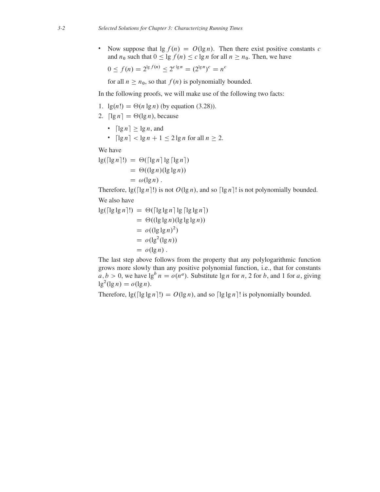Now suppose that  $\lg f(n) = O(\lg n)$ . Then there exist positive constants c and  $n_0$  such that  $0 \le \lg f(n) \le c \lg n$  for all  $n \ge n_0$ . Then, we have

 $0 \le f(n) = 2^{\lg f(n)} \le 2^{c \lg n} = (2^{\lg n})^c = n^c$ 

for all  $n \ge n_0$ , so that  $f(n)$  is polynomially bounded.

In the following proofs, we will make use of the following two facts:

- 1.  $\lg(n!) = \Theta(n \lg n)$  (by equation (3.28)).
- 2.  $\lceil \lg n \rceil = \Theta(\lg n)$ , because
	- $\lceil \lg n \rceil \geq \lg n$ , and
	- $\lceil \lg n \rceil < \lg n + 1 \leq 2 \lg n$  for all  $n \geq 2$ .

We have

$$
lg([lg n]!) = \Theta([lg n] lg [lg n])
$$
  
= 
$$
\Theta((lg n)(lg lg n))
$$
  
= 
$$
\omega(lg n).
$$

Therefore,  $\lg(\lceil \lg n \rceil!)$  is not  $O(\lg n)$ , and so  $\lceil \lg n \rceil!$  is not polynomially bounded.

We also have

$$
lg([lg \lg n]!) = \Theta([lg \lg n] \lg [lg \lg n])
$$
  
= 
$$
\Theta((lg \lg n)(lg \lg \lg n))
$$
  
= 
$$
o((lg \lg n)^2)
$$
  
= 
$$
o(lg^2(\lg n))
$$
  
= 
$$
o(\lg n).
$$

The last step above follows from the property that any polylogarithmic function grows more slowly than any positive polynomial function, i.e., that for constants  $a, b > 0$ , we have  $\lg^b n = o(n^a)$ . Substitute  $\lg n$  for n, 2 for b, and 1 for a, giving  $lg^2(lg n) = o(lg n).$ 

Therefore,  $\lg(\lceil \lg \lg n \rceil!) = O(\lg n)$ , and so  $\lceil \lg \lg n \rceil!$  is polynomially bounded.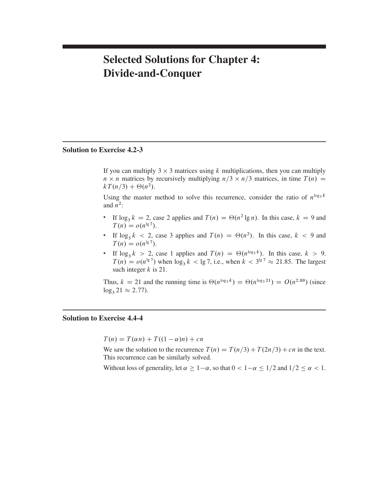# **Selected Solutions for Chapter 4: Divide-and-Conquer**

#### **Solution to Exercise 4.2-3**

If you can multiply  $3 \times 3$  matrices using k multiplications, then you can multiply  $n \times n$  matrices by recursively multiplying  $n/3 \times n/3$  matrices, in time  $T(n)$  =  $kT(n/3) + \Theta(n^2)$ .

Using the master method to solve this recurrence, consider the ratio of  $n^{\log_3 k}$ and  $n^2$ :

- If  $\log_3 k = 2$ , case 2 applies and  $T(n) = \Theta(n^2 \lg n)$ . In this case,  $k = 9$  and  $T(n) = o(n^{\lg 7}).$
- If  $\log_3 k$  < 2, case 3 applies and  $T(n) = \Theta(n^2)$ . In this case,  $k < 9$  and  $T(n) = o(n^{\lg 7}).$
- If  $\log_3 k > 2$ , case 1 applies and  $T(n) = \Theta(n^{\log_3 k})$ . In this case,  $k > 9$ .  $T(n) = o(n^{\lg 7})$  when  $\log_3 k < \lg 7$ , i.e., when  $k < 3^{\lg 7} \approx 21.85$ . The largest such integer  $k$  is 21.

Thus,  $k = 21$  and the running time is  $\Theta(n^{\log_3 k}) = \Theta(n^{\log_3 21}) = O(n^{2.80})$  (since  $\log_3 21 \approx 2.77$ ).

#### **Solution to Exercise 4.4-4**

 $T(n) = T(\alpha n) + T((1 - \alpha)n) + cn$ 

We saw the solution to the recurrence  $T(n) = T(n/3) + T(2n/3) + cn$  in the text. This recurrence can be similarly solved.

Without loss of generality, let  $\alpha \ge 1-\alpha$ , so that  $0 < 1-\alpha \le 1/2$  and  $1/2 \le \alpha < 1$ .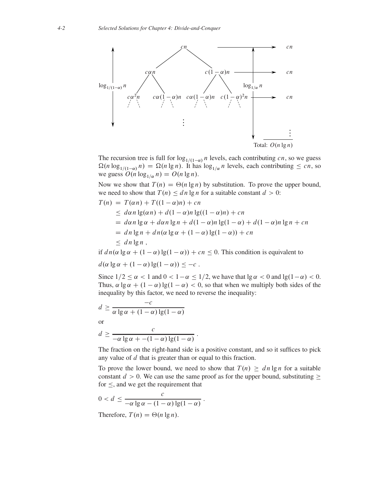

The recursion tree is full for  $\log_{1/(1-\alpha)} n$  levels, each contributing cn, so we guess  $\Omega(n \log_{1/(1-\alpha)} n) = \Omega(n \lg n)$ . It has  $\log_{1/\alpha} n$  levels, each contributing  $\leq cn$ , so we guess  $O(n \log_{1/\alpha} n) = O(n \lg n)$ .

Now we show that  $T(n) = \Theta(n \lg n)$  by substitution. To prove the upper bound, we need to show that  $T(n) \leq d n \lg n$  for a suitable constant  $d > 0$ :

$$
T(n) = T(\alpha n) + T((1 - \alpha)n) + cn
$$
  
\n
$$
\leq d\alpha n \lg(\alpha n) + d(1 - \alpha)n \lg((1 - \alpha)n) + cn
$$
  
\n
$$
= d\alpha n \lg \alpha + d\alpha n \lg n + d(1 - \alpha)n \lg(1 - \alpha) + d(1 - \alpha)n \lg n + cn
$$
  
\n
$$
= dn \lg n + dn(\alpha \lg \alpha + (1 - \alpha) \lg(1 - \alpha)) + cn
$$
  
\n
$$
\leq dn \lg n,
$$

if  $dn(\alpha \lg \alpha + (1 - \alpha) \lg(1 - \alpha)) + cn \leq 0$ . This condition is equivalent to

$$
d(\alpha \lg \alpha + (1 - \alpha) \lg(1 - \alpha)) \leq -c.
$$

Since  $1/2 \le \alpha < 1$  and  $0 < 1-\alpha \le 1/2$ , we have that  $\lg \alpha < 0$  and  $\lg(1-\alpha) < 0$ . Thus,  $\alpha \lg \alpha + (1 - \alpha) \lg(1 - \alpha) < 0$ , so that when we multiply both sides of the inequality by this factor, we need to reverse the inequality:

$$
d \ge \frac{-c}{\alpha \lg \alpha + (1 - \alpha) \lg(1 - \alpha)}
$$
  
or

 $d \ge \frac{c}{-\alpha \lg \alpha + -(1-\alpha) \lg(1-\alpha)}.$ 

The fraction on the right-hand side is a positive constant, and so it suffices to pick any value of  $d$  that is greater than or equal to this fraction.

To prove the lower bound, we need to show that  $T(n) \geq d n \lg n$  for a suitable constant  $d > 0$ . We can use the same proof as for the upper bound, substituting  $\geq$ for  $\le$ , and we get the requirement that

$$
0 < d \leq \frac{c}{-\alpha \lg \alpha - (1 - \alpha) \lg(1 - \alpha)}.
$$
\nTherefore

\n
$$
T(n) = \Theta(n \lg n)
$$

Therefore,  $T(n) = \Theta(n \lg n)$ .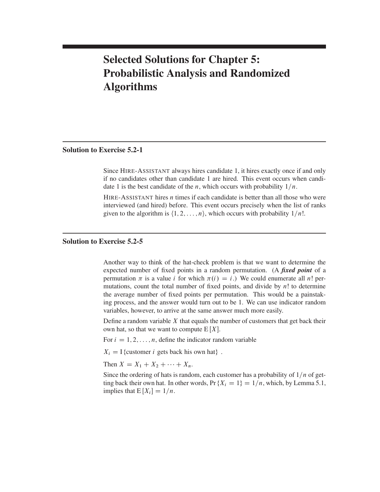# **Selected Solutions for Chapter 5: Probabilistic Analysis and Randomized Algorithms**

#### **Solution to Exercise 5.2-1**

Since HIRE-ASSISTANT always hires candidate 1, it hires exactly once if and only if no candidates other than candidate 1 are hired. This event occurs when candidate 1 is the best candidate of the *n*, which occurs with probability  $1/n$ .

HIRE-ASSISTANT hires  $n$  times if each candidate is better than all those who were interviewed (and hired) before. This event occurs precisely when the list of ranks given to the algorithm is  $\langle 1, 2, \ldots, n \rangle$ , which occurs with probability  $1/n!$ .

#### **Solution to Exercise 5.2-5**

Another way to think of the hat-check problem is that we want to determine the expected number of fixed points in a random permutation. (A *fixed point* of a permutation  $\pi$  is a value i for which  $\pi(i) = i$ .) We could enumerate all n! permutations, count the total number of fixed points, and divide by  $n!$  to determine the average number of fixed points per permutation. This would be a painstaking process, and the answer would turn out to be 1. We can use indicator random variables, however, to arrive at the same answer much more easily.

Define a random variable  $X$  that equals the number of customers that get back their own hat, so that we want to compute  $E[X]$ .

For  $i = 1, 2, \ldots, n$ , define the indicator random variable

 $X_i = I$ {customer *i* gets back his own hat}.

Then  $X = X_1 + X_2 + \cdots + X_n$ .

Since the ordering of hats is random, each customer has a probability of  $1/n$  of getting back their own hat. In other words,  $Pr\{X_i = 1\} = 1/n$ , which, by Lemma 5.1, implies that  $E[X_i] = 1/n$ .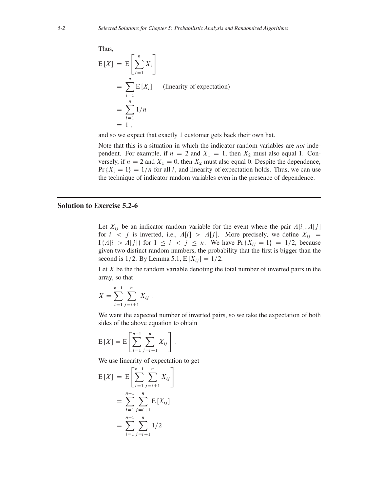Thus,  
\n
$$
E[X] = E\left[\sum_{i=1}^{n} X_i\right]
$$
\n
$$
= \sum_{i=1}^{n} E[X_i]
$$
 (linearity of expectation)  
\n
$$
= \sum_{i=1}^{n} 1/n
$$
\n
$$
= 1,
$$

and so we expect that exactly 1 customer gets back their own hat.

Note that this is a situation in which the indicator random variables are *not* independent. For example, if  $n = 2$  and  $X_1 = 1$ , then  $X_2$  must also equal 1. Conversely, if  $n = 2$  and  $X_1 = 0$ , then  $X_2$  must also equal 0. Despite the dependence,  $Pr\{X_i = 1\} = 1/n$  for all i, and linearity of expectation holds. Thus, we can use the technique of indicator random variables even in the presence of dependence.

#### **Solution to Exercise 5.2-6**

Let  $X_{ij}$  be an indicator random variable for the event where the pair  $A[i], A[j]$ for  $i < j$  is inverted, i.e.,  $A[i] > A[j]$ . More precisely, we define  $X_{ij}$  =  $I\{A[i] > A[j]\}\$  for  $1 \le i \le j \le n$ . We have Pr $\{X_{ij} = 1\} = 1/2$ , because given two distinct random numbers, the probability that the first is bigger than the second is 1/2. By Lemma 5.1,  $E[X_{ij}] = 1/2$ .

Let  $X$  be the the random variable denoting the total number of inverted pairs in the array, so that

$$
X = \sum_{i=1}^{n-1} \sum_{j=i+1}^{n} X_{ij} .
$$

We want the expected number of inverted pairs, so we take the expectation of both sides of the above equation to obtain

$$
E[X] = E\left[\sum_{i=1}^{n-1} \sum_{j=i+1}^{n} X_{ij}\right].
$$

We use linearity of expectation to get

$$
E[X] = E\left[\sum_{i=1}^{n-1} \sum_{j=i+1}^{n} X_{ij}\right]
$$
  
= 
$$
\sum_{i=1}^{n-1} \sum_{j=i+1}^{n} E[X_{ij}]
$$
  
= 
$$
\sum_{i=1}^{n-1} \sum_{j=i+1}^{n} 1/2
$$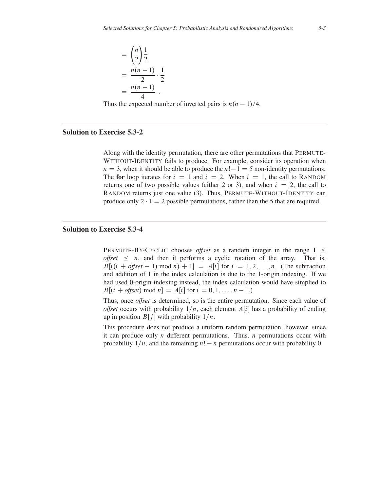$$
= {n \choose 2} \frac{1}{2}
$$
  
= 
$$
\frac{n(n-1)}{2} \cdot \frac{1}{2}
$$
  
= 
$$
\frac{n(n-1)}{4}
$$
.

Thus the expected number of inverted pairs is  $n(n-1)/4$ .

#### **Solution to Exercise 5.3-2**

Along with the identity permutation, there are other permutations that PERMUTE-WITHOUT-IDENTITY fails to produce. For example, consider its operation when  $n = 3$ , when it should be able to produce the  $n! - 1 = 5$  non-identity permutations. The **for** loop iterates for  $i = 1$  and  $i = 2$ . When  $i = 1$ , the call to RANDOM returns one of two possible values (either 2 or 3), and when  $i = 2$ , the call to RANDOM returns just one value (3). Thus, PERMUTE-WITHOUT-IDENTITY can produce only  $2 \cdot 1 = 2$  possible permutations, rather than the 5 that are required.

#### **Solution to Exercise 5.3-4**

PERMUTE-BY-CYCLIC chooses *offset* as a random integer in the range 1 *offset*  $\leq n$ , and then it performs a cyclic rotation of the array. That is,  $B[((i + offset - 1) \mod n) + 1] = A[i]$  for  $i = 1, 2, ..., n$ . (The subtraction and addition of 1 in the index calculation is due to the 1-origin indexing. If we had used 0-origin indexing instead, the index calculation would have simplied to  $B[(i + offset) \text{ mod } n] = A[i] \text{ for } i = 0, 1, ..., n - 1.$ 

Thus, once *offset* is determined, so is the entire permutation. Since each value of *offset* occurs with probability  $1/n$ , each element  $A[i]$  has a probability of ending up in position  $B[j]$  with probability  $1/n$ .

This procedure does not produce a uniform random permutation, however, since it can produce only *n* different permutations. Thus, *n* permutations occur with probability  $1/n$ , and the remaining  $n! - n$  permutations occur with probability 0.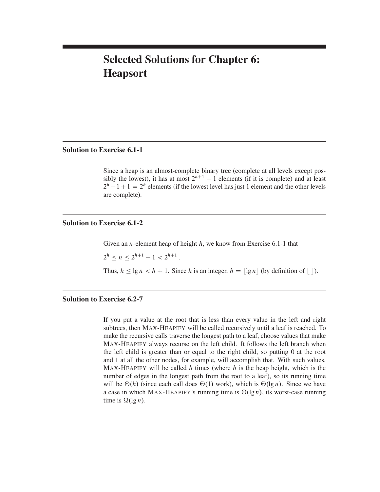# **Selected Solutions for Chapter 6: Heapsort**

#### **Solution to Exercise 6.1-1**

Since a heap is an almost-complete binary tree (complete at all levels except possibly the lowest), it has at most  $2^{h+1} - 1$  elements (if it is complete) and at least  $2<sup>h</sup> - 1 + 1 = 2<sup>h</sup>$  elements (if the lowest level has just 1 element and the other levels are complete).

#### **Solution to Exercise 6.1-2**

Given an *n*-element heap of height  $h$ , we know from Exercise 6.1-1 that

 $2^h \leq n \leq 2^{h+1} - 1 < 2^{h+1}$ .

Thus,  $h \le \lg n \le h + 1$ . Since h is an integer,  $h = |\lg n|$  (by definition of  $|\cdot|$ ).

#### **Solution to Exercise 6.2-7**

If you put a value at the root that is less than every value in the left and right subtrees, then MAX-HEAPIFY will be called recursively until a leaf is reached. To make the recursive calls traverse the longest path to a leaf, choose values that make MAX-HEAPIFY always recurse on the left child. It follows the left branch when the left child is greater than or equal to the right child, so putting 0 at the root and 1 at all the other nodes, for example, will accomplish that. With such values, MAX-HEAPIFY will be called  $h$  times (where  $h$  is the heap height, which is the number of edges in the longest path from the root to a leaf), so its running time will be  $\Theta(h)$  (since each call does  $\Theta(1)$  work), which is  $\Theta(\lg n)$ . Since we have a case in which MAX-HEAPIFY's running time is  $\Theta(\lg n)$ , its worst-case running time is  $\Omega(\lg n)$ .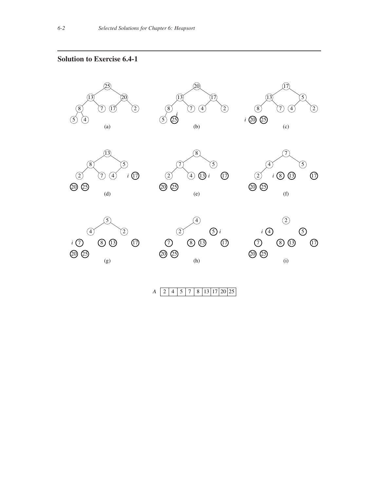### **Solution to Exercise 6.4-1**

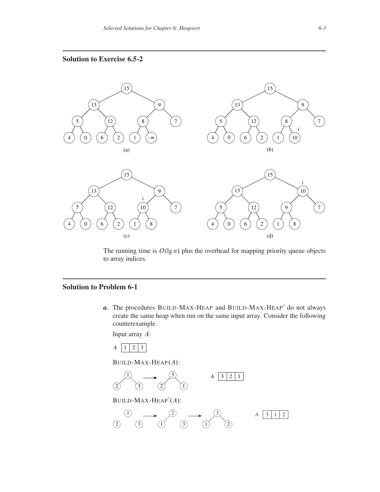#### **Solution to Exercise 6.5-2**



The running time is  $O(\lg n)$  plus the overhead for mapping priority queue objects to array indices.

#### **Solution to Problem 6-1**

a. The procedures BUILD-MAX-HEAP and BUILD-MAX-HEAP' do not always create the same heap when run on the same input array. Consider the following counterexample.

Input array A:

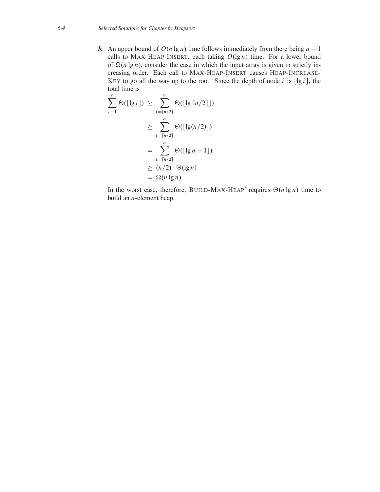*b.* An upper bound of  $O(n \lg n)$  time follows immediately from there being  $n - 1$ calls to MAX-HEAP-INSERT, each taking  $O(\lg n)$  time. For a lower bound of  $\Omega(n \lg n)$ , consider the case in which the input array is given in strictly increasing order. Each call to MAX-HEAP-INSERT causes HEAP-INCREASE-KEY to go all the way up to the root. Since the depth of node i is  $\lfloor \lg i \rfloor$ , the total time is

$$
\sum_{i=1}^{n} \Theta(\lfloor \lg i \rfloor) \ge \sum_{i=\lceil n/2 \rceil}^{n} \Theta(\lfloor \lg \lceil n/2 \rceil \rfloor)
$$
  
\n
$$
\ge \sum_{i=\lceil n/2 \rceil}^{n} \Theta(\lfloor \lg(n/2) \rfloor)
$$
  
\n
$$
= \sum_{i=\lceil n/2 \rceil}^{n} \Theta(\lfloor \lg n - 1 \rfloor)
$$
  
\n
$$
\ge (n/2) \cdot \Theta(\lg n)
$$
  
\n
$$
= \Omega(n \lg n).
$$

In the worst case, therefore, BUILD-MAX-HEAP' requires  $\Theta(n \lg n)$  time to build an n-element heap.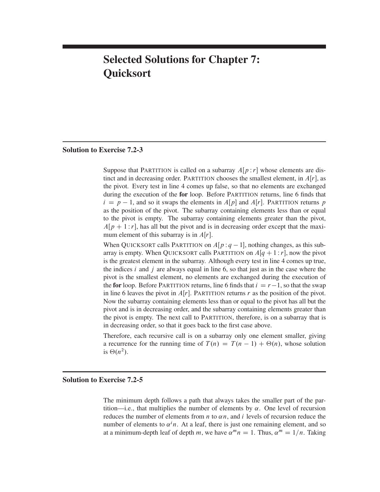# **Selected Solutions for Chapter 7: Quicksort**

#### **Solution to Exercise 7.2-3**

Suppose that PARTITION is called on a subarray  $A[p:r]$  whose elements are distinct and in decreasing order. PARTITION chooses the smallest element, in  $A[r]$ , as the pivot. Every test in line 4 comes up false, so that no elements are exchanged during the execution of the **for** loop. Before PARTITION returns, line 6 finds that  $i = p - 1$ , and so it swaps the elements in  $A[p]$  and  $A[r]$ . PARTITION returns p as the position of the pivot. The subarray containing elements less than or equal to the pivot is empty. The subarray containing elements greater than the pivot,  $A[p + 1:r]$ , has all but the pivot and is in decreasing order except that the maximum element of this subarray is in  $A[r]$ .

When QUICKSORT calls PARTITION on  $A[p:q-1]$ , nothing changes, as this subarray is empty. When QUICKSORT calls PARTITION on  $A[q + 1 : r]$ , now the pivot is the greatest element in the subarray. Although every test in line 4 comes up true, the indices  $i$  and  $j$  are always equal in line 6, so that just as in the case where the pivot is the smallest element, no elements are exchanged during the execution of the **for** loop. Before PARTITION returns, line 6 finds that  $i = r - 1$ , so that the swap in line 6 leaves the pivot in  $A[r]$ . PARTITION returns r as the position of the pivot. Now the subarray containing elements less than or equal to the pivot has all but the pivot and is in decreasing order, and the subarray containing elements greater than the pivot is empty. The next call to PARTITION, therefore, is on a subarray that is in decreasing order, so that it goes back to the first case above.

Therefore, each recursive call is on a subarray only one element smaller, giving a recurrence for the running time of  $T(n) = T(n - 1) + \Theta(n)$ , whose solution is  $\Theta(n^2)$ .

#### **Solution to Exercise 7.2-5**

The minimum depth follows a path that always takes the smaller part of the partition—i.e., that multiplies the number of elements by  $\alpha$ . One level of recursion reduces the number of elements from  $n$  to  $\alpha n$ , and  $i$  levels of recursion reduce the number of elements to  $\alpha^{i}n$ . At a leaf, there is just one remaining element, and so at a minimum-depth leaf of depth m, we have  $\alpha^m n = 1$ . Thus,  $\alpha^m = 1/n$ . Taking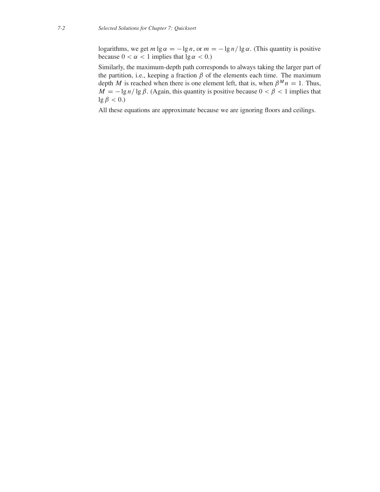logarithms, we get  $m \lg \alpha = -\lg n$ , or  $m = -\lg n / \lg \alpha$ . (This quantity is positive because  $0 < \alpha < 1$  implies that  $\lg \alpha < 0$ .)

Similarly, the maximum-depth path corresponds to always taking the larger part of the partition, i.e., keeping a fraction  $\beta$  of the elements each time. The maximum depth M is reached when there is one element left, that is, when  $\beta^M n = 1$ . Thus,  $\overline{M} = -\lg n / \lg \beta$ . (Again, this quantity is positive because  $0 < \beta < 1$  implies that  $\lg \beta < 0.$ 

All these equations are approximate because we are ignoring floors and ceilings.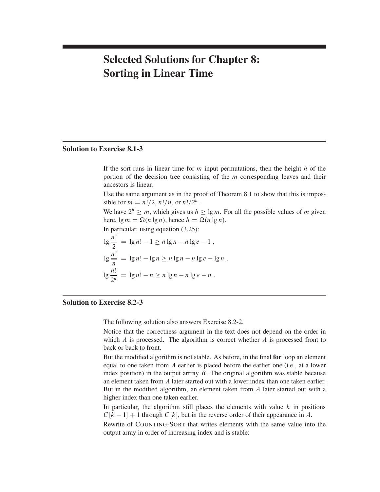# **Selected Solutions for Chapter 8: Sorting in Linear Time**

#### **Solution to Exercise 8.1-3**

If the sort runs in linear time for  $m$  input permutations, then the height  $h$  of the portion of the decision tree consisting of the *m* corresponding leaves and their ancestors is linear.

Use the same argument as in the proof of Theorem 8.1 to show that this is impossible for  $m = n!/2$ ,  $n!/n$ , or  $n!/2^n$ .

We have  $2^h \ge m$ , which gives us  $h \ge \lg m$ . For all the possible values of m given here,  $\lg m = \Omega(n \lg n)$ , hence  $h = \Omega(n \lg n)$ .

In particular, using equation (3.25): .<br>امغ

$$
\lg \frac{n!}{2} = \lg n! - 1 \ge n \lg n - n \lg e - 1,
$$
  

$$
\lg \frac{n!}{n} = \lg n! - \lg n \ge n \lg n - n \lg e - \lg n,
$$
  

$$
\lg \frac{n!}{2^n} = \lg n! - n \ge n \lg n - n \lg e - n.
$$

#### **Solution to Exercise 8.2-3**

The following solution also answers Exercise 8.2-2.

Notice that the correctness argument in the text does not depend on the order in which  $A$  is processed. The algorithm is correct whether  $A$  is processed front to back or back to front.

But the modified algorithm is not stable. As before, in the final **for** loop an element equal to one taken from A earlier is placed before the earlier one (i.e., at a lower index position) in the output arrray  $B$ . The original algorithm was stable because an element taken from A later started out with a lower index than one taken earlier. But in the modified algorithm, an element taken from A later started out with a higher index than one taken earlier.

In particular, the algorithm still places the elements with value  $k$  in positions  $C[k-1]+1$  through  $C[k]$ , but in the reverse order of their appearance in A.

Rewrite of COUNTING-SORT that writes elements with the same value into the output array in order of increasing index and is stable: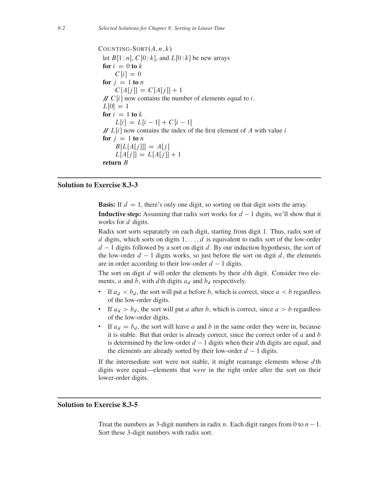COUNTING-SORT $(A, n, k)$ let  $B[1:n]$ ,  $C[0:k]$ , and  $L[0:k]$  be new arrays **for**  $i = 0$  **to** k  $C[i] = 0$ **for**  $j = 1$  **to** n  $C[A[j]] = C[A[j]] + 1$  $\mathcal{U}$  C[i] now contains the number of elements equal to *i*.  $L[0] = 1$ **for**  $i = 1$  **to**  $k$  $L[i] = L[i - 1] + C[i - 1]$  $\mathcal{U}$  L[i] now contains the index of the first element of A with value i **for**  $j = 1$  **to** n  $B[L[A[j]]] = A[j]$  $L[A[j]] = L[A[j]] + 1$ **return** B

#### **Solution to Exercise 8.3-3**

**Basis:** If  $d = 1$ , there's only one digit, so sorting on that digit sorts the array. **Inductive step:** Assuming that radix sort works for  $d - 1$  digits, we'll show that it works for d digits.

Radix sort sorts separately on each digit, starting from digit 1. Thus, radix sort of d digits, which sorts on digits  $1, \ldots, d$  is equivalent to radix sort of the low-order  $d-1$  digits followed by a sort on digit d. By our induction hypothesis, the sort of the low-order  $d - 1$  digits works, so just before the sort on digit d, the elements are in order according to their low-order  $d - 1$  digits.

The sort on digit  $d$  will order the elements by their  $d$  th digit. Consider two elements, a and b, with dth digits  $a_d$  and  $b_d$  respectively.

- If  $a_d < b_d$ , the sort will put a before b, which is correct, since  $a < b$  regardless of the low-order digits.
- If  $a_d > b_d$ , the sort will put a after b, which is correct, since  $a > b$  regardless of the low-order digits.
- If  $a_d = b_d$ , the sort will leave a and b in the same order they were in, because it is stable. But that order is already correct, since the correct order of  $a$  and  $b$ is determined by the low-order  $d-1$  digits when their dth digits are equal, and the elements are already sorted by their low-order  $d - 1$  digits.

If the intermediate sort were not stable, it might rearrange elements whose  $d$  th digits were equal—elements that *were* in the right order after the sort on their lower-order digits.

#### **Solution to Exercise 8.3-5**

Treat the numbers as 3-digit numbers in radix n. Each digit ranges from 0 to  $n - 1$ . Sort these 3-digit numbers with radix sort.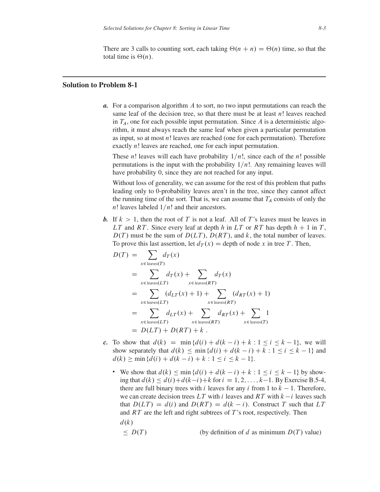There are 3 calls to counting sort, each taking  $\Theta(n + n) = \Theta(n)$  time, so that the total time is  $\Theta(n)$ .

#### **Solution to Problem 8-1**

*a.* For a comparison algorithm A to sort, no two input permutations can reach the same leaf of the decision tree, so that there must be at least  $n!$  leaves reached in  $T_A$ , one for each possible input permutation. Since A is a deterministic algorithm, it must always reach the same leaf when given a particular permutation as input, so at most  $n!$  leaves are reached (one for each permutation). Therefore exactly  $n!$  leaves are reached, one for each input permutation.

These *n*! leaves will each have probability  $1/n!$ , since each of the *n*! possible permutations is the input with the probability  $1/n!$ . Any remaining leaves will have probability 0, since they are not reached for any input.

Without loss of generality, we can assume for the rest of this problem that paths leading only to 0-probability leaves aren't in the tree, since they cannot affect the running time of the sort. That is, we can assume that  $T_A$  consists of only the  $n!$  leaves labeled  $1/n!$  and their ancestors.

*b.* If  $k > 1$ , then the root of T is not a leaf. All of T's leaves must be leaves in LT and RT. Since every leaf at depth h in LT or RT has depth  $h + 1$  in T,  $D(T)$  must be the sum of  $D(LT)$ ,  $D(RT)$ , and k, the total number of leaves. To prove this last assertion, let  $d_T(x) =$  depth of node x in tree T. Then,

$$
D(T) = \sum_{x \in \text{leaves}(T)} d_T(x)
$$
  
= 
$$
\sum_{x \in \text{leaves}(LT)} d_T(x) + \sum_{x \in \text{leaves}(RT)} d_T(x)
$$
  
= 
$$
\sum_{x \in \text{leaves}(LT)} (d_{LT}(x) + 1) + \sum_{x \in \text{leaves}(RT)} (d_{RT}(x) + 1)
$$
  
= 
$$
\sum_{x \in \text{leaves}(LT)} d_{LT}(x) + \sum_{x \in \text{leaves}(RT)} d_{RT}(x) + \sum_{x \in \text{leaves}(T)} 1
$$
  
= 
$$
D(LT) + D(RT) + k.
$$

- *c.* To show that  $d(k) = \min \{d(i) + d(k i) + k : 1 \le i \le k 1\}$ , we will show separately that  $d(k) \le \min \{d(i) + d(k - i) + k : 1 \le i \le k - 1\}$  and  $d(k) \ge \min \{d(i) + d(k - i) + k : 1 \le i \le k - 1\}.$ 
	- We show that  $d(k) \le \min \{d(i) + d(k i) + k : 1 \le i \le k 1\}$  by showing that  $d(k) \leq d(i) + d(k - i) + k$  for  $i = 1, 2, ..., k - 1$ . By Exercise B.5-4, there are full binary trees with i leaves for any i from 1 to  $k - 1$ . Therefore, we can create decision trees LT with i leaves and RT with  $k - i$  leaves such that  $D(LT) = d(i)$  and  $D(RT) = d(k - i)$ . Construct T such that LT and  $RT$  are the left and right subtrees of T's root, respectively. Then  $d(k)$ 
		- $\langle D(T)$  (by definition of d as minimum  $D(T)$  value)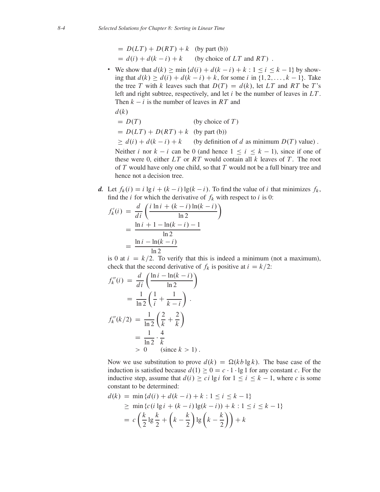$= D(LT) + D(RT) + k$  (by part (b))  $= d(i) + d(k - i) + k$  (by choice of LT and RT).

We show that  $d(k) \ge \min \{d(i) + d(k - i) + k : 1 \le i \le k - 1\}$  by showing that  $d(k) \ge d(i) + d(k - i) + k$ , for some i in {1, 2, ..., k - 1}. Take the tree T with k leaves such that  $D(T) = d(k)$ , let LT and RT be T's left and right subtree, respectively, and let  $i$  be the number of leaves in  $LT$ . Then  $k - i$  is the number of leaves in RT and

$$
d(k)
$$

$$
= D(T) \t\t (by choice of T)
$$

 $= D(LT) + D(RT) + k$  (by part (b))

$$
\geq d(i) + d(k - i) + k
$$
 (by definition of *d* as minimum *D(T)* value).

Neither i nor  $k - i$  can be 0 (and hence  $1 \le i \le k - 1$ ), since if one of these were 0, either  $LT$  or  $RT$  would contain all k leaves of  $T$ . The root of  $T$  would have only one child, so that  $T$  would not be a full binary tree and hence not a decision tree.

*d.* Let  $f_k(i) = i \lg i + (k - i) \lg(k - i)$ . To find the value of i that minimizes  $f_k$ , find the *i* for which the derivative of  $f_k$  with respect to *i* is 0:

$$
f'_k(i) = \frac{d}{di} \left( \frac{i \ln i + (k-i) \ln(k-i)}{\ln 2} \right)
$$

$$
= \frac{\ln i + 1 - \ln(k-i) - 1}{\ln 2}
$$

$$
= \frac{\ln i - \ln(k-i)}{\ln 2}
$$

is 0 at  $i = k/2$ . To verify that this is indeed a minimum (not a maximum), check that the second derivative of  $f_k$  is positive at  $i = k/2$ :

$$
f_k''(i) = \frac{d}{di} \left( \frac{\ln i - \ln(k - i)}{\ln 2} \right)
$$

$$
= \frac{1}{\ln 2} \left( \frac{1}{i} + \frac{1}{k - i} \right).
$$

$$
f_k''(k/2) = \frac{1}{\ln 2} \left( \frac{2}{k} + \frac{2}{k} \right)
$$

$$
= \frac{1}{\ln 2} \cdot \frac{4}{k}
$$

$$
> 0 \qquad \text{(since } k > 1).
$$

Now we use substitution to prove  $d(k) = \Omega(kb \lg k)$ . The base case of the induction is satisfied because  $d(1) \ge 0 = c \cdot 1 \cdot \lg 1$  for any constant c. For the inductive step, assume that  $d(i) \geq c i \lg i$  for  $1 \leq i \leq k - 1$ , where c is some constant to be determined:

$$
d(k) = \min \{ d(i) + d(k - i) + k : 1 \le i \le k - 1 \}
$$
  
\n
$$
\ge \min \{ c(i \lg i + (k - i) \lg(k - i)) + k : 1 \le i \le k - 1 \}
$$
  
\n
$$
= c \left( \frac{k}{2} \lg \frac{k}{2} + \left( k - \frac{k}{2} \right) \lg \left( k - \frac{k}{2} \right) \right) + k
$$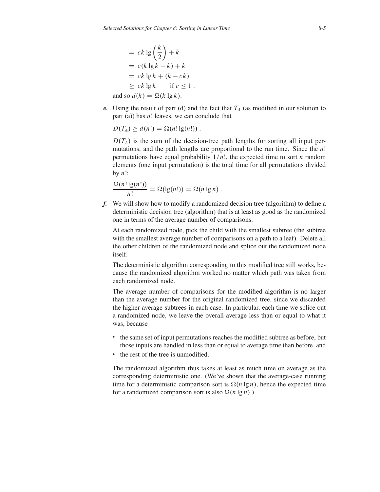$$
= ck \lg \left(\frac{k}{2}\right) + k
$$
  
\n
$$
= c(k \lg k - k) + k
$$
  
\n
$$
= ck \lg k + (k - ck)
$$
  
\n
$$
\ge ck \lg k \quad \text{if } c \le 1,
$$
  
\nand so  $d(k) = \Omega(k \lg k).$ 

*e.* Using the result of part (d) and the fact that  $T_A$  (as modified in our solution to part (a)) has  $n!$  leaves, we can conclude that

 $D(T_A) \geq d(n!) = \Omega(n! \lg(n))$ .

 $D(T_A)$  is the sum of the decision-tree path lengths for sorting all input permutations, and the path lengths are proportional to the run time. Since the  $n!$ permutations have equal probability  $1/n!$ , the expected time to sort n random elements (one input permutation) is the total time for all permutations divided by  $n!$ :

$$
\frac{\Omega(n! \lg(n!))}{n!} = \Omega(\lg(n!)) = \Omega(n \lg n) .
$$

*f.* We will show how to modify a randomized decision tree (algorithm) to define a deterministic decision tree (algorithm) that is at least as good as the randomized one in terms of the average number of comparisons.

At each randomized node, pick the child with the smallest subtree (the subtree with the smallest average number of comparisons on a path to a leaf). Delete all the other children of the randomized node and splice out the randomized node itself.

The deterministic algorithm corresponding to this modified tree still works, because the randomized algorithm worked no matter which path was taken from each randomized node.

The average number of comparisons for the modified algorithm is no larger than the average number for the original randomized tree, since we discarded the higher-average subtrees in each case. In particular, each time we splice out a randomized node, we leave the overall average less than or equal to what it was, because

- the same set of input permutations reaches the modified subtree as before, but those inputs are handled in less than or equal to average time than before, and
- the rest of the tree is unmodified.

The randomized algorithm thus takes at least as much time on average as the corresponding deterministic one. (We've shown that the average-case running time for a deterministic comparison sort is  $\Omega(n \lg n)$ , hence the expected time for a randomized comparison sort is also  $\Omega(n \lg n)$ .)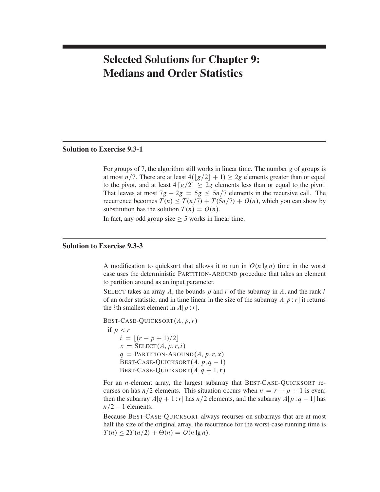# **Selected Solutions for Chapter 9: Medians and Order Statistics**

#### **Solution to Exercise 9.3-1**

For groups of 7, the algorithm still works in linear time. The number  $g$  of groups is at most  $n/7$ . There are at least  $4(\lfloor g/2 \rfloor + 1) \geq 2g$  elements greater than or equal to the pivot, and at least  $4\left\lceil g/2\right\rceil > 2g$  elements less than or equal to the pivot. That leaves at most  $7g - 2g = 5g \le 5n/7$  elements in the recursive call. The recurrence becomes  $T(n) \leq T(n/7) + T(5n/7) + O(n)$ , which you can show by substitution has the solution  $T(n) = O(n)$ .

In fact, any odd group size  $\geq$  5 works in linear time.

#### **Solution to Exercise 9.3-3**

A modification to quicksort that allows it to run in  $O(n \lg n)$  time in the worst case uses the deterministic PARTITION-AROUND procedure that takes an element to partition around as an input parameter.

SELECT takes an array A, the bounds p and r of the subarray in A, and the rank i of an order statistic, and in time linear in the size of the subarray  $A[p:r]$  it returns the *i*th smallest element in  $A[p:r]$ .

BEST-CASE-QUICKSORT $(A, p, r)$ 

**if**  $p < r$  $i = \lfloor (r - p + 1)/2 \rfloor$  $x = \text{SELECT}(A, p, r, i)$  $q =$  PARTITION-AROUND $(A, p, r, x)$ BEST-CASE-QUICKSORT $(A, p, q - 1)$ BEST-CASE-QUICKSORT $(A, q + 1, r)$ 

For an n-element array, the largest subarray that BEST-CASE-QUICKSORT recurses on has  $n/2$  elements. This situation occurs when  $n = r - p + 1$  is even; then the subarray  $A[q + 1:r]$  has  $n/2$  elements, and the subarray  $A[p : q - 1]$  has  $n/2 - 1$  elements.

Because BEST-CASE-QUICKSORT always recurses on subarrays that are at most half the size of the original array, the recurrence for the worst-case running time is  $T(n) \leq 2T(n/2) + \Theta(n) = O(n \lg n).$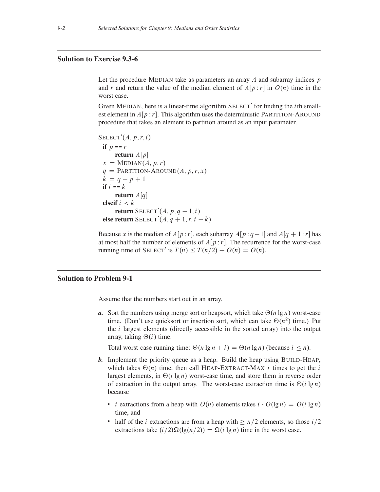#### **Solution to Exercise 9.3-6**

Let the procedure MEDIAN take as parameters an array  $A$  and subarray indices  $p$ and r and return the value of the median element of  $A[p:r]$  in  $O(n)$  time in the worst case.

Given MEDIAN, here is a linear-time algorithm  $SELECT'$  for finding the *i*th smallest element in  $A[p:r]$ . This algorithm uses the deterministic PARTITION-AROUND procedure that takes an element to partition around as an input parameter.

```
\text{SELECT}'(A, p, r, i)if p == rreturn A[p]x = \text{MEDIAN}(A, p, r)q = PARTITION-AROUND(A, p, r, x)k = q - p + 1if i == kreturn A[q]elseif i < kreturn SELECT'(A, p, q - 1, i)else return SELECT'(A, q + 1, r, i - k)
```
Because x is the median of  $A[p:r]$ , each subarray  $A[p:q-1]$  and  $A[q+1:r]$  has at most half the number of elements of  $A[p:r]$ . The recurrence for the worst-case running time of SELECT' is  $T(n) \leq T(n/2) + O(n) = O(n)$ .

#### **Solution to Problem 9-1**

Assume that the numbers start out in an array.

*a.* Sort the numbers using merge sort or heapsort, which take  $\Theta(n \lg n)$  worst-case time. (Don't use quicksort or insertion sort, which can take  $\Theta(n^2)$  time.) Put the i largest elements (directly accessible in the sorted array) into the output array, taking  $\Theta(i)$  time.

Total worst-case running time:  $\Theta(n \lg n + i) = \Theta(n \lg n)$  (because  $i \leq n$ ).

- *b.* Implement the priority queue as a heap. Build the heap using BUILD-HEAP, which takes  $\Theta(n)$  time, then call HEAP-EXTRACT-MAX *i* times to get the *i* largest elements, in  $\Theta(i \lg n)$  worst-case time, and store them in reverse order of extraction in the output array. The worst-case extraction time is  $\Theta(i \lg n)$ because
	- *i* extractions from a heap with  $O(n)$  elements takes  $i \cdot O(\lg n) = O(i \lg n)$ time, and
	- half of the *i* extractions are from a heap with  $\geq n/2$  elements, so those  $i/2$ extractions take  $(i/2)\Omega(\lg(n/2)) = \Omega(i \lg n)$  time in the worst case.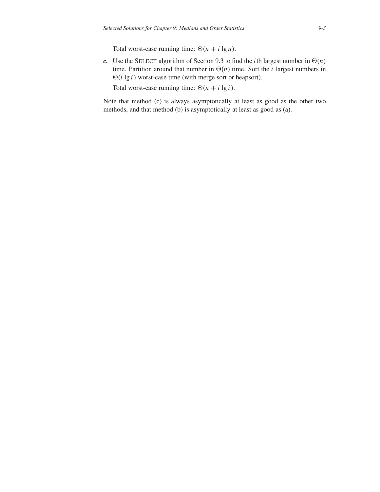Total worst-case running time:  $\Theta(n + i \lg n)$ .

*c.* Use the SELECT algorithm of Section 9.3 to find the *i*th largest number in  $\Theta(n)$ time. Partition around that number in  $\Theta(n)$  time. Sort the *i* largest numbers in  $\Theta(i \lg i)$  worst-case time (with merge sort or heapsort).

Total worst-case running time:  $\Theta(n + i \lg i)$ .

Note that method (c) is always asymptotically at least as good as the other two methods, and that method (b) is asymptotically at least as good as (a).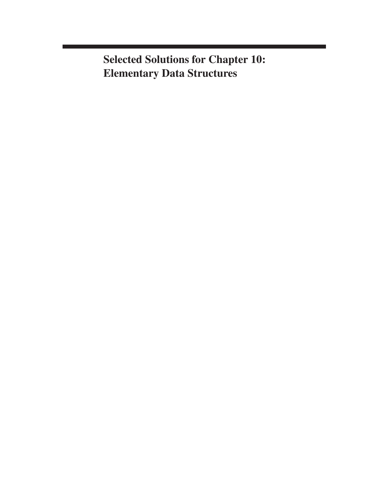**Selected Solutions for Chapter 10: Elementary Data Structures**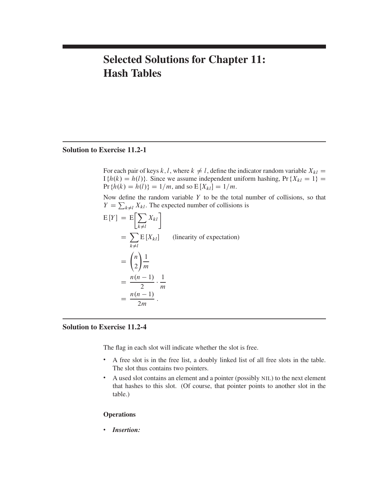# **Selected Solutions for Chapter 11: Hash Tables**

#### **Solution to Exercise 11.2-1**

For each pair of keys k, l, where  $k \neq l$ , define the indicator random variable  $X_{kl} =$  $I\{h(k) = h(l)\}\.$  Since we assume independent uniform hashing, Pr  $\{X_{kl} = 1\}$  =  $Pr\{h(k) = h(l)\} = 1/m$ , and so  $E[X_{kl}] = 1/m$ .

Now define the random variable  $Y$  to be the total number of collisions, so that  $Y = \sum_{k \neq l} X_{kl}$ . The expected number of collisions is

$$
E[Y] = E\left[\sum_{k \neq l} X_{kl}\right]
$$
  
=  $\sum_{k \neq l} E[X_{kl}]$  (linearity of expectation)  
=  $\binom{n}{2} \frac{1}{m}$   
=  $\frac{n(n-1)}{2} \cdot \frac{1}{m}$   
=  $\frac{n(n-1)}{2m}$ .

#### **Solution to Exercise 11.2-4**

The flag in each slot will indicate whether the slot is free.

- A free slot is in the free list, a doubly linked list of all free slots in the table. The slot thus contains two pointers.
- A used slot contains an element and a pointer (possibly NIL) to the next element that hashes to this slot. (Of course, that pointer points to another slot in the table.)

#### **Operations**

*Insertion:*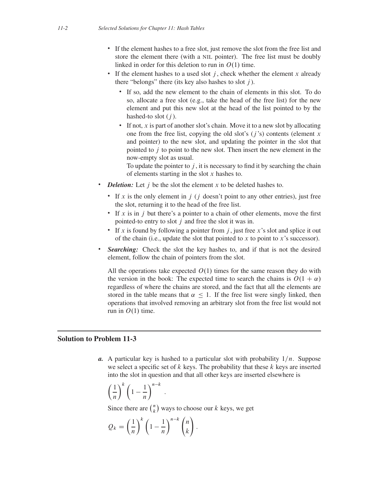- If the element hashes to a free slot, just remove the slot from the free list and store the element there (with a NIL pointer). The free list must be doubly linked in order for this deletion to run in  $O(1)$  time.
- If the element hashes to a used slot  $j$ , check whether the element  $x$  already there "belongs" there (its key also hashes to slot  $j$ ).
	- If so, add the new element to the chain of elements in this slot. To do so, allocate a free slot (e.g., take the head of the free list) for the new element and put this new slot at the head of the list pointed to by the hashed-to slot  $(j)$ .
	- If not, x is part of another slot's chain. Move it to a new slot by allocating one from the free list, copying the old slot's  $(j's)$  contents (element x and pointer) to the new slot, and updating the pointer in the slot that pointed to  $j$  to point to the new slot. Then insert the new element in the now-empty slot as usual.

To update the pointer to  $j$ , it is necessary to find it by searching the chain of elements starting in the slot  $x$  hashes to.

- **Deletion:** Let *j* be the slot the element *x* to be deleted hashes to.
	- If x is the only element in  $j$  ( $j$  doesn't point to any other entries), just free the slot, returning it to the head of the free list.
	- If x is in j but there's a pointer to a chain of other elements, move the first pointed-to entry to slot  $j$  and free the slot it was in.
	- If x is found by following a pointer from  $j$ , just free x's slot and splice it out of the chain (i.e., update the slot that pointed to  $x$  to point to  $x$ 's successor).
- *Searching:* Check the slot the key hashes to, and if that is not the desired element, follow the chain of pointers from the slot.

All the operations take expected  $O(1)$  times for the same reason they do with the version in the book: The expected time to search the chains is  $O(1 + \alpha)$ regardless of where the chains are stored, and the fact that all the elements are stored in the table means that  $\alpha \leq 1$ . If the free list were singly linked, then operations that involved removing an arbitrary slot from the free list would not run in  $O(1)$  time.

#### **Solution to Problem 11-3**

*a.* A particular key is hashed to a particular slot with probability  $1/n$ . Suppose we select a specific set of  $k$  keys. The probability that these  $k$  keys are inserted into the slot in question and that all other keys are inserted elsewhere is

$$
\left(\frac{1}{n}\right)^k \left(1 - \frac{1}{n}\right)^{n-k}
$$

Since there are  $\binom{n}{k}$  $\binom{n}{k}$  ways to choose our k keys, we get

:

$$
Q_k = \left(\frac{1}{n}\right)^k \left(1 - \frac{1}{n}\right)^{n-k} \binom{n}{k}.
$$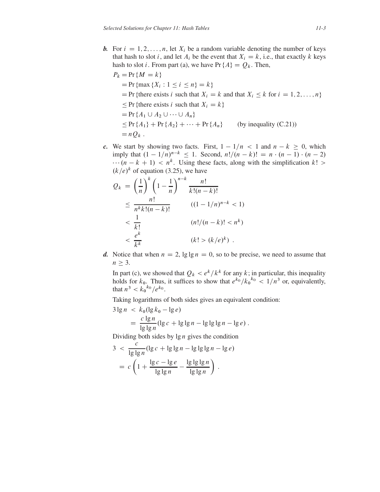- *b.* For  $i = 1, 2, ..., n$ , let  $X_i$  be a random variable denoting the number of keys that hash to slot i, and let  $A_i$  be the event that  $X_i = k$ , i.e., that exactly k keys hash to slot *i*. From part (a), we have Pr  $\{A\} = Q_k$ . Then,
	- $P_k = \Pr \{M = k\}$  $=$  Pr {max { $X_i : 1 \le i \le n$ } =  $k$ } = Pr {there exists i such that  $X_i = k$  and that  $X_i \le k$  for  $i = 1, 2, ..., n$ }  $\leq$  Pr {there exists i such that  $X_i = k$ }  $=$  Pr { $A_1 \cup A_2 \cup \cdots \cup A_n$ }  $\leq$  Pr {A<sub>1</sub>} + Pr {A<sub>2</sub>} +  $\cdots$  + Pr {A<sub>n</sub>} (by inequality (C.21))  $= n O_k$ .
- *c.* We start by showing two facts. First,  $1 1/n < 1$  and  $n k \ge 0$ , which imply that  $(1 - 1/n)^{n-k} \le 1$ . Second,  $n!/(n - k)! = n \cdot (n - 1) \cdot (n - 2)$  $\cdots (n - k + 1) < n^k$ . Using these facts, along with the simplification  $k! >$  $(k/e)^k$  of equation (3.25), we have

$$
Q_k = \left(\frac{1}{n}\right)^k \left(1 - \frac{1}{n}\right)^{n-k} \frac{n!}{k!(n-k)!}
$$
  
\n
$$
\leq \frac{n!}{n^k k!(n-k)!} \qquad ((1 - 1/n)^{n-k} < 1)
$$
  
\n
$$
< \frac{1}{k!} \qquad (n!/(n-k)! < n^k)
$$
  
\n
$$
< \frac{e^k}{k^k} \qquad (k! > (k/e)^k) .
$$

*d.* Notice that when  $n = 2$ , lg lg  $n = 0$ , so to be precise, we need to assume that  $n \geq 3$ .

In part (c), we showed that  $Q_k < e^k/k^k$  for any k; in particular, this inequality holds for  $k_0$ . Thus, it suffices to show that  $e^{k_0}/k_0^{k_0} < 1/n^3$  or, equivalently, that  $n^3 < k_0^{k_0}/e^{k_0}$ .

Taking logarithms of both sides gives an equivalent condition:

$$
3\lg n < k_0(\lg k_0 - \lg e)
$$
\n
$$
= \frac{c\lg n}{\lg\lg n}(\lg c + \lg\lg n - \lg\lg\lg n - \lg e).
$$

Dividing both sides by  $\lg n$  gives the condition

$$
3 < \frac{c}{\lg \lg n} (\lg c + \lg \lg n - \lg \lg \lg n - \lg e)
$$
\n
$$
= c \left( 1 + \frac{\lg c - \lg e}{\lg \lg n} - \frac{\lg \lg \lg n}{\lg \lg n} \right).
$$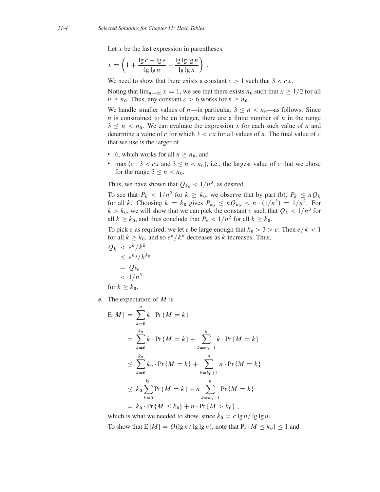Let  $x$  be the last expression in parentheses:

$$
x = \left(1 + \frac{\lg c - \lg e}{\lg \lg n} - \frac{\lg \lg \lg n}{\lg \lg n}\right)
$$

We need to show that there exists a constant  $c > 1$  such that  $3 < cx$ .

:

Noting that  $\lim_{n\to\infty} x = 1$ , we see that there exists  $n_0$  such that  $x \ge 1/2$  for all  $n \ge n_0$ . Thus, any constant  $c > 6$  works for  $n \ge n_0$ .

We handle smaller values of *n*—in particular,  $3 \le n < n_0$ —as follows. Since  $n$  is constrained to be an integer, there are a finite number of  $n$  in the range  $3 \leq n < n_0$ . We can evaluate the expression x for each such value of n and determine a value of c for which  $3 < cx$  for all values of n. The final value of c that we use is the larger of

- 6, which works for all  $n \ge n_0$ , and
- max  $\{c : 3 < c \times \text{ and } 3 \le n < n_0\}$ , i.e., the largest value of c that we chose for the range  $3 \leq n < n_0$ .

Thus, we have shown that  $Q_{k_0} < 1/n^3$ , as desired.

To see that  $P_k < 1/n^2$  for  $k \ge k_0$ , we observe that by part (b),  $P_k \le nQ_k$ for all k. Choosing  $k = k_0$  gives  $P_{k_0} \le nQ_{k_0} < n \cdot (1/n^3) = 1/n^2$ . For  $k > k_0$ , we will show that we can pick the constant c such that  $Q_k < 1/n^3$  for all  $k \geq k_0$ , and thus conclude that  $P_k < 1/n^2$  for all  $k \geq k_0$ .

To pick c as required, we let c be large enough that  $k_0 > 3 > e$ . Then  $e/k < 1$ for all  $k \geq k_0$ , and so  $e^k/k^k$  decreases as k increases. Thus,

$$
Q_k < e^k / k^k
$$
\n
$$
\leq e^{k_0} / k^{k_0}
$$
\n
$$
= Q_{k_0}
$$
\n
$$
< 1/n^3
$$
\nfor  $k > k$ 

for  $k \geq k_0$ .

*e.* The expectation of M is

$$
E[M] = \sum_{k=0}^{n} k \cdot Pr{M = k}
$$
  
=  $\sum_{k=0}^{k_0} k \cdot Pr{M = k} + \sum_{k=k_0+1}^{n} k \cdot Pr{M = k}$   
 $\leq \sum_{k=0}^{k_0} k_0 \cdot Pr{M = k} + \sum_{k=k_0+1}^{n} n \cdot Pr{M = k}$   
 $\leq k_0 \sum_{k=0}^{k_0} Pr{M = k} + n \sum_{k=k_0+1}^{n} Pr{M = k}$   
=  $k_0 \cdot Pr{M \leq k_0} + n \cdot Pr{M > k_0}$ ,

which is what we needed to show, since  $k_0 = c \lg n / \lg \lg n$ .

To show that  $E[M] = O(\lg n / \lg \lg n)$ , note that  $Pr\{M \leq k_0\} \leq 1$  and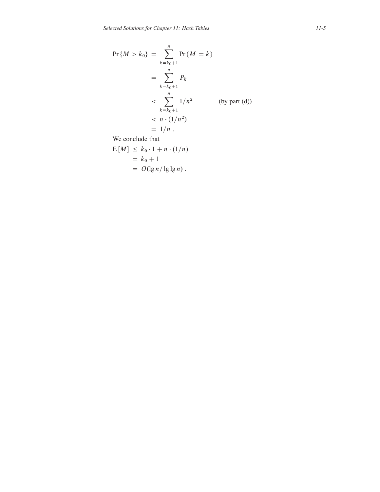$$
\Pr\{M > k_0\} = \sum_{k=k_0+1}^{n} \Pr\{M = k\}
$$
\n
$$
= \sum_{k=k_0+1}^{n} P_k
$$
\n
$$
< \sum_{k=k_0+1}^{n} 1/n^2 \qquad \text{(by part (d))}
$$
\n
$$
< n \cdot (1/n^2)
$$
\n
$$
= 1/n \, .
$$

We conclude that

$$
E[M] \le k_0 \cdot 1 + n \cdot (1/n)
$$
  
=  $k_0 + 1$   
=  $O(\lg n / \lg \lg n)$ .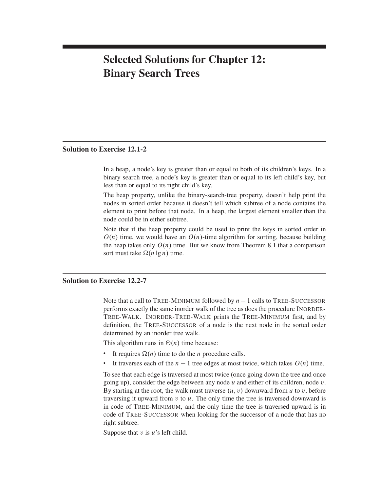# **Selected Solutions for Chapter 12: Binary Search Trees**

### **Solution to Exercise 12.1-2**

In a heap, a node's key is greater than or equal to both of its children's keys. In a binary search tree, a node's key is greater than or equal to its left child's key, but less than or equal to its right child's key.

The heap property, unlike the binary-search-tree property, doesn't help print the nodes in sorted order because it doesn't tell which subtree of a node contains the element to print before that node. In a heap, the largest element smaller than the node could be in either subtree.

Note that if the heap property could be used to print the keys in sorted order in  $O(n)$  time, we would have an  $O(n)$ -time algorithm for sorting, because building the heap takes only  $O(n)$  time. But we know from Theorem 8.1 that a comparison sort must take  $\Omega(n \lg n)$  time.

# **Solution to Exercise 12.2-7**

Note that a call to TREE-MINIMUM followed by  $n - 1$  calls to TREE-SUCCESSOR performs exactly the same inorder walk of the tree as does the procedure INORDER-TREE-WALK. INORDER-TREE-WALK prints the TREE-MINIMUM first, and by definition, the TREE-SUCCESSOR of a node is the next node in the sorted order determined by an inorder tree walk.

This algorithm runs in  $\Theta(n)$  time because:

- It requires  $\Omega(n)$  time to do the *n* procedure calls.
- It traverses each of the  $n 1$  tree edges at most twice, which takes  $O(n)$  time.

To see that each edge is traversed at most twice (once going down the tree and once going up), consider the edge between any node  $u$  and either of its children, node  $v$ . By starting at the root, the walk must traverse  $(u, v)$  downward from u to v, before traversing it upward from  $v$  to  $u$ . The only time the tree is traversed downward is in code of TREE-MINIMUM, and the only time the tree is traversed upward is in code of TREE-SUCCESSOR when looking for the successor of a node that has no right subtree.

Suppose that  $v$  is  $u$ 's left child.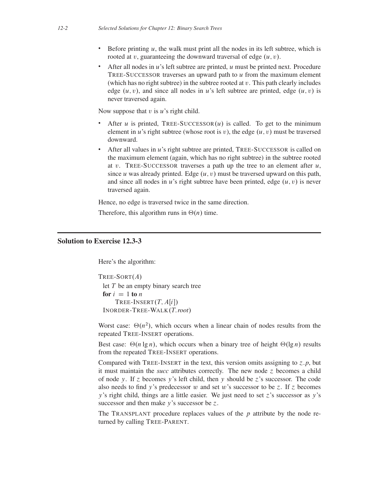- Before printing  $u$ , the walk must print all the nodes in its left subtree, which is rooted at v, guaranteeing the downward traversal of edge  $(u, v)$ .
- $\bullet$  After all nodes in u's left subtree are printed, u must be printed next. Procedure TREE-SUCCESSOR traverses an upward path to  $u$  from the maximum element (which has no right subtree) in the subtree rooted at  $v$ . This path clearly includes edge  $(u, v)$ , and since all nodes in u's left subtree are printed, edge  $(u, v)$  is never traversed again.

Now suppose that  $v$  is  $u$ 's right child.

- After u is printed, TREE-SUCCESSOR( $u$ ) is called. To get to the minimum element in u's right subtree (whose root is v), the edge  $(u, v)$  must be traversed downward.
- After all values in  $u$ 's right subtree are printed, TREE-SUCCESSOR is called on the maximum element (again, which has no right subtree) in the subtree rooted at v. TREE-SUCCESSOR traverses a path up the tree to an element after  $u$ , since u was already printed. Edge  $(u, v)$  must be traversed upward on this path, and since all nodes in u's right subtree have been printed, edge  $(u, v)$  is never traversed again.

Hence, no edge is traversed twice in the same direction.

Therefore, this algorithm runs in  $\Theta(n)$  time.

# **Solution to Exercise 12.3-3**

Here's the algorithm:

 $TREE-SORT(A)$ let  $T$  be an empty binary search tree **for**  $i = 1$  **to** n TREE-INSERT $(T, A[i])$ INORDER-TREE-WALK $(T.root)$ 

Worst case:  $\Theta(n^2)$ , which occurs when a linear chain of nodes results from the repeated TREE-INSERT operations.

Best case:  $\Theta(n \lg n)$ , which occurs when a binary tree of height  $\Theta(\lg n)$  results from the repeated TREE-INSERT operations.

Compared with TREE-INSERT in the text, this version omits assigning to  $z.p$ , but it must maintain the *succ* attributes correctly. The new node  $z$  becomes a child of node y. If  $\zeta$  becomes y's left child, then y should be  $\zeta$ 's successor. The code also needs to find y's predecessor w and set w's successor to be  $\zeta$ . If  $\zeta$  becomes y's right child, things are a little easier. We just need to set  $z$ 's successor as y's successor and then make  $y$ 's successor be  $z$ .

The TRANSPLANT procedure replaces values of the  $p$  attribute by the node returned by calling TREE-PARENT.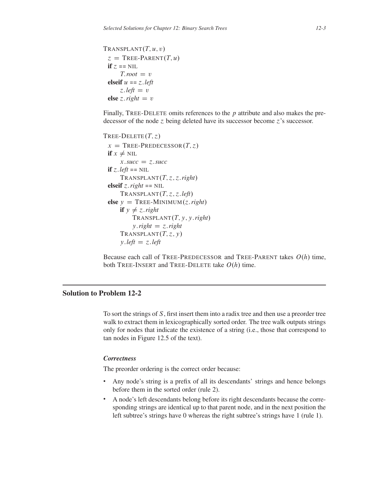```
TRANSPLANT(T, u, v)z = \text{Tree-PARENT}(T, u)if z = NILTroot = v
 elseif u == z. left
     z.left = velse z right = v
```
Finally, TREE-DELETE omits references to the  $p$  attribute and also makes the predecessor of the node  $\zeta$  being deleted have its successor become  $\zeta$ 's successor.

```
TREE-DELETE(T, z)x = \text{Tree-PREDECESSOR}(T, z)if x \neq \text{NIL}x.succ = z.succif z. left == NIL
      TRANSPLANT(T, z, z. right)elseif z. right == NIL
      TRANSPLANT(T, z, z. \textit{left})else y = \text{Tree-MINIMUM}(z.\text{right})if y \neq z. right
          TRANSPLANT(T, y, y, right)y:right = z.right
      TRANSPLANT(T, z, y)y.left = z.left
```
Because each call of TREE-PREDECESSOR and TREE-PARENT takes  $O(h)$  time, both TREE-INSERT and TREE-DELETE take  $O(h)$  time.

# **Solution to Problem 12-2**

To sort the strings of S, first insert them into a radix tree and then use a preorder tree walk to extract them in lexicographically sorted order. The tree walk outputs strings only for nodes that indicate the existence of a string (i.e., those that correspond to tan nodes in Figure 12.5 of the text).

#### *Correctness*

The preorder ordering is the correct order because:

- Any node's string is a prefix of all its descendants' strings and hence belongs before them in the sorted order (rule 2).
- A node's left descendants belong before its right descendants because the corresponding strings are identical up to that parent node, and in the next position the left subtree's strings have 0 whereas the right subtree's strings have 1 (rule 1).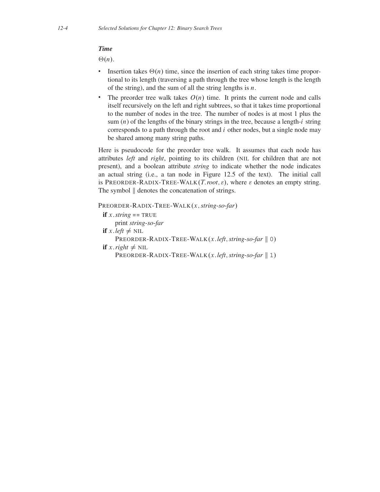#### *Time*

 $\Theta(n)$ .

- Insertion takes  $\Theta(n)$  time, since the insertion of each string takes time proportional to its length (traversing a path through the tree whose length is the length of the string), and the sum of all the string lengths is  $n$ .
- The preorder tree walk takes  $O(n)$  time. It prints the current node and calls itself recursively on the left and right subtrees, so that it takes time proportional to the number of nodes in the tree. The number of nodes is at most 1 plus the sum  $(n)$  of the lengths of the binary strings in the tree, because a length-i string corresponds to a path through the root and i other nodes, but a single node may be shared among many string paths.

Here is pseudocode for the preorder tree walk. It assumes that each node has attributes *left* and *right*, pointing to its children (NIL for children that are not present), and a boolean attribute *string* to indicate whether the node indicates an actual string (i.e., a tan node in Figure 12.5 of the text). The initial call is PREORDER-RADIX-TREE-WALK $(T.root, \varepsilon)$ , where  $\varepsilon$  denotes an empty string. The symbol  $\parallel$  denotes the concatenation of strings.

```
PREORDER-RADIX-TREE-WALK(x, string-so-far)
```
**if**  $x \cdot \text{string} = \text{TRUE}$ print *string*-*so*-*far* **if**  $x$ *. left*  $\neq$  NIL PREORDER-RADIX-TREE-WALK $(x. \text{left}, \text{string-} \text{so-far} \parallel 0)$ **if** x. right  $\neq$  NIL PREORDER-RADIX-TREE-WALK $(x, left, string$ -so- $far \parallel 1$ )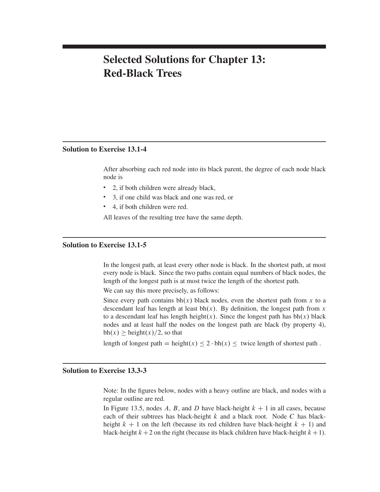# **Selected Solutions for Chapter 13: Red-Black Trees**

### **Solution to Exercise 13.1-4**

After absorbing each red node into its black parent, the degree of each node black node is

- 2, if both children were already black,
- 3, if one child was black and one was red, or
- 4, if both children were red.

All leaves of the resulting tree have the same depth.

### **Solution to Exercise 13.1-5**

In the longest path, at least every other node is black. In the shortest path, at most every node is black. Since the two paths contain equal numbers of black nodes, the length of the longest path is at most twice the length of the shortest path.

We can say this more precisely, as follows:

Since every path contains  $\text{bh}(x)$  black nodes, even the shortest path from x to a descendant leaf has length at least bh $(x)$ . By definition, the longest path from x to a descendant leaf has length height $(x)$ . Since the longest path has bh $(x)$  black nodes and at least half the nodes on the longest path are black (by property 4),  $bh(x) \geq height(x)/2$ , so that

length of longest path  $=$  height $(x) \le 2 \cdot bh(x) \le$  twice length of shortest path.

# **Solution to Exercise 13.3-3**

Note: In the figures below, nodes with a heavy outline are black, and nodes with a regular outline are red.

In Figure 13.5, nodes A, B, and D have black-height  $k + 1$  in all cases, because each of their subtrees has black-height  $k$  and a black root. Node  $C$  has blackheight  $k + 1$  on the left (because its red children have black-height  $k + 1$ ) and black-height  $k+2$  on the right (because its black children have black-height  $k+1$ ).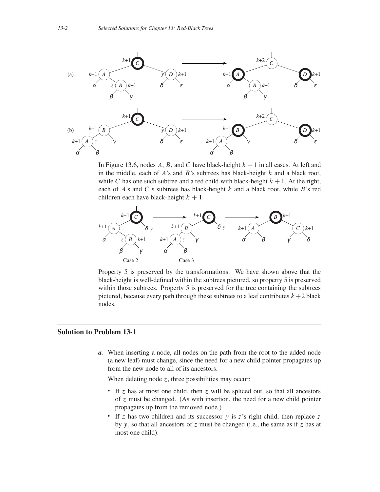

In Figure 13.6, nodes A, B, and C have black-height  $k + 1$  in all cases. At left and in the middle, each of  $A$ 's and  $B$ 's subtrees has black-height  $k$  and a black root, while C has one such subtree and a red child with black-height  $k + 1$ . At the right, each of  $A$ 's and  $C$ 's subtrees has black-height  $k$  and a black root, while  $B$ 's red children each have black-height  $k + 1$ .



Property 5 is preserved by the transformations. We have shown above that the black-height is well-defined within the subtrees pictured, so property 5 is preserved within those subtrees. Property 5 is preserved for the tree containing the subtrees pictured, because every path through these subtrees to a leaf contributes  $k+2$  black nodes.

# **Solution to Problem 13-1**

*a.* When inserting a node, all nodes on the path from the root to the added node (a new leaf) must change, since the need for a new child pointer propagates up from the new node to all of its ancestors.

When deleting node  $z$ , three possibilities may occur:

- If  $\zeta$  has at most one child, then  $\zeta$  will be spliced out, so that all ancestors of  $\zeta$  must be changed. (As with insertion, the need for a new child pointer propagates up from the removed node.)
- If z has two children and its successor y is z's right child, then replace z by y, so that all ancestors of  $\zeta$  must be changed (i.e., the same as if  $\zeta$  has at most one child).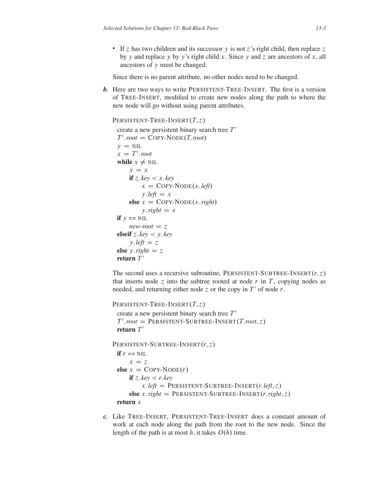If z has two children and its successor y is not z's right child, then replace z by y and replace y by y's right child x. Since y and z are ancestors of x, all ancestors of y must be changed.

Since there is no parent attribute, no other nodes need to be changed.

*b.* Here are two ways to write PERSISTENT-TREE-INSERT. The first is a version of TREE-INSERT, modified to create new nodes along the path to where the new node will go without using parent attributes.

```
PERSISTENT-TREE-INSERT(T, z)
```

```
create a new persistent binary search tree T'T'.\text{root} = \text{Copy-NODE}(T.\text{root})v = NILx = T'.\text{root}while x \neq \text{NIL}y = xif z.key \lt x.key
         x = \text{Copy-Node}(x.\text{left})y.left = x
     else x = \text{COPY-NODE}(x.\text{right})yright = xif y == NIL
     new-root = zelseif z.key < y.key
     y.left = zelse y. right = zreturn T'
```
The second uses a recursive subroutine, PERSISTENT-SUBTREE-INSERT $(r, z)$ that inserts node  $\zeta$  into the subtree rooted at node  $r$  in  $T$ , copying nodes as needed, and returning either node  $z$  or the copy in  $T'$  of node  $r$ .

```
PERSISTENT-TREE-INSERT(T, z)create a new persistent binary search tree T'T'.root = PERSISTENT-SUBTREE-INSERT(T.root, z)return T'
PERSISTENT-SUBTREE-INSERT(r, z)if r == \text{NIL}x = zelse x = \text{Copy-NODE}(r)if z.key \lt r.key
         x.left = PERSISTENT-SUBTREE-INSERT(r.left, z)else x. right = PERSISTENT-SUBTREE-INSERT(r. right, z)return x
```
*c.* Like TREE-INSERT, PERSISTENT-TREE-INSERT does a constant amount of work at each node along the path from the root to the new node. Since the length of the path is at most h, it takes  $O(h)$  time.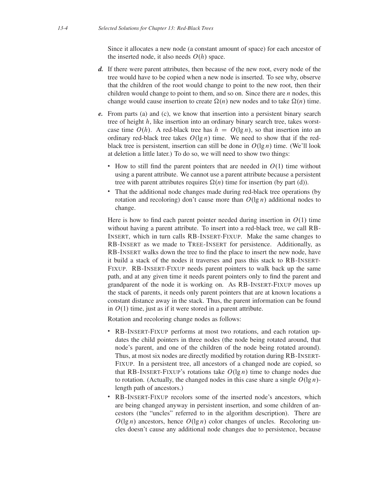Since it allocates a new node (a constant amount of space) for each ancestor of the inserted node, it also needs  $O(h)$  space.

- *d.* If there were parent attributes, then because of the new root, every node of the tree would have to be copied when a new node is inserted. To see why, observe that the children of the root would change to point to the new root, then their children would change to point to them, and so on. Since there are  $n$  nodes, this change would cause insertion to create  $\Omega(n)$  new nodes and to take  $\Omega(n)$  time.
- *e.* From parts (a) and (c), we know that insertion into a persistent binary search tree of height h, like insertion into an ordinary binary search tree, takes worstcase time  $O(h)$ . A red-black tree has  $h = O(\lg n)$ , so that insertion into an ordinary red-black tree takes  $O(\lg n)$  time. We need to show that if the redblack tree is persistent, insertion can still be done in  $O(\lg n)$  time. (We'll look at deletion a little later.) To do so, we will need to show two things:
	- How to still find the parent pointers that are needed in  $O(1)$  time without using a parent attribute. We cannot use a parent attribute because a persistent tree with parent attributes requires  $\Omega(n)$  time for insertion (by part (d)).
	- That the additional node changes made during red-black tree operations (by rotation and recoloring) don't cause more than  $O(\lg n)$  additional nodes to change.

Here is how to find each parent pointer needed during insertion in  $O(1)$  time without having a parent attribute. To insert into a red-black tree, we call RB-INSERT, which in turn calls RB-INSERT-FIXUP. Make the same changes to RB-INSERT as we made to TREE-INSERT for persistence. Additionally, as RB-INSERT walks down the tree to find the place to insert the new node, have it build a stack of the nodes it traverses and pass this stack to RB-INSERT-FIXUP. RB-INSERT-FIXUP needs parent pointers to walk back up the same path, and at any given time it needs parent pointers only to find the parent and grandparent of the node it is working on. As RB-INSERT-FIXUP moves up the stack of parents, it needs only parent pointers that are at known locations a constant distance away in the stack. Thus, the parent information can be found in  $O(1)$  time, just as if it were stored in a parent attribute.

Rotation and recoloring change nodes as follows:

- RB-INSERT-FIXUP performs at most two rotations, and each rotation updates the child pointers in three nodes (the node being rotated around, that node's parent, and one of the children of the node being rotated around). Thus, at most six nodes are directly modified by rotation during RB-INSERT-FIXUP. In a persistent tree, all ancestors of a changed node are copied, so that RB-INSERT-FIXUP's rotations take  $O(\lg n)$  time to change nodes due to rotation. (Actually, the changed nodes in this case share a single  $O(\lg n)$ length path of ancestors.)
- RB-INSERT-FIXUP recolors some of the inserted node's ancestors, which are being changed anyway in persistent insertion, and some children of ancestors (the "uncles" referred to in the algorithm description). There are  $O(\lg n)$  ancestors, hence  $O(\lg n)$  color changes of uncles. Recoloring uncles doesn't cause any additional node changes due to persistence, because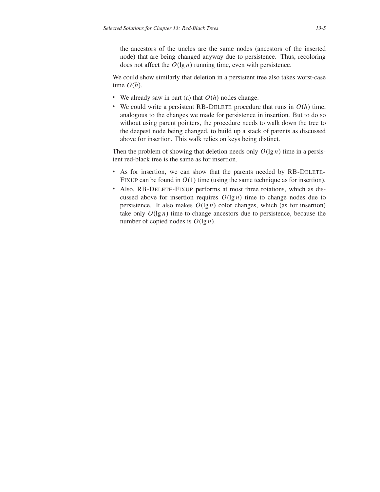the ancestors of the uncles are the same nodes (ancestors of the inserted node) that are being changed anyway due to persistence. Thus, recoloring does not affect the  $O(\lg n)$  running time, even with persistence.

We could show similarly that deletion in a persistent tree also takes worst-case time  $O(h)$ .

- We already saw in part (a) that  $O(h)$  nodes change.
- We could write a persistent RB-DELETE procedure that runs in  $O(h)$  time, analogous to the changes we made for persistence in insertion. But to do so without using parent pointers, the procedure needs to walk down the tree to the deepest node being changed, to build up a stack of parents as discussed above for insertion. This walk relies on keys being distinct.

Then the problem of showing that deletion needs only  $O(\lg n)$  time in a persistent red-black tree is the same as for insertion.

- As for insertion, we can show that the parents needed by RB-DELETE-FIXUP can be found in  $O(1)$  time (using the same technique as for insertion).
- Also, RB-DELETE-FIXUP performs at most three rotations, which as discussed above for insertion requires  $O(\lg n)$  time to change nodes due to persistence. It also makes  $O(\lg n)$  color changes, which (as for insertion) take only  $O(\lg n)$  time to change ancestors due to persistence, because the number of copied nodes is  $O(\lg n)$ .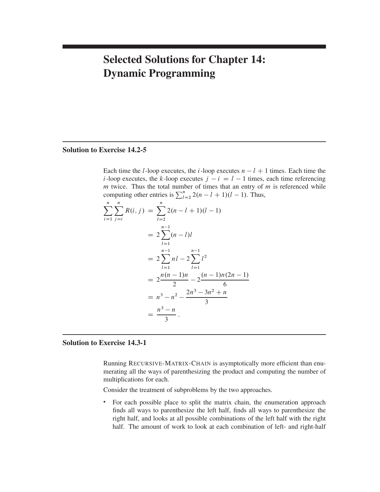# **Selected Solutions for Chapter 14: Dynamic Programming**

# **Solution to Exercise 14.2-5**

Each time the *l*-loop executes, the *i*-loop executes  $n - l + 1$  times. Each time the *i*-loop executes, the *k*-loop executes  $j - i = l - 1$  times, each time referencing m twice. Thus the total number of times that an entry of  $m$  is referenced while computing other entries is  $\sum_{l=2}^{n} 2(n-l+1)(l-1)$ . Thus,

$$
\sum_{i=1}^{n} \sum_{j=i}^{n} R(i, j) = \sum_{l=2}^{n} 2(n - l + 1)(l - 1)
$$
  
=  $2 \sum_{l=1}^{n-1} (n - l)l$   
=  $2 \sum_{l=1}^{n-1} n l - 2 \sum_{l=1}^{n-1} l^2$   
=  $2 \frac{n(n-1)n}{2} - 2 \frac{(n-1)n(2n-1)}{6}$   
=  $n^3 - n^2 - \frac{2n^3 - 3n^2 + n}{3}$   
=  $\frac{n^3 - n}{3}$ .

### **Solution to Exercise 14.3-1**

Running RECURSIVE-MATRIX-CHAIN is asymptotically more efficient than enumerating all the ways of parenthesizing the product and computing the number of multiplications for each.

Consider the treatment of subproblems by the two approaches.

 For each possible place to split the matrix chain, the enumeration approach finds all ways to parenthesize the left half, finds all ways to parenthesize the right half, and looks at all possible combinations of the left half with the right half. The amount of work to look at each combination of left- and right-half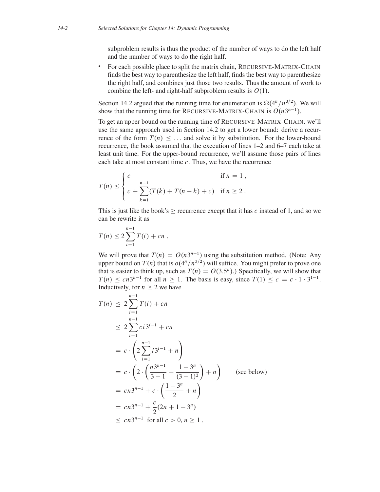subproblem results is thus the product of the number of ways to do the left half and the number of ways to do the right half.

• For each possible place to split the matrix chain, RECURSIVE-MATRIX-CHAIN finds the best way to parenthesize the left half, finds the best way to parenthesize the right half, and combines just those two results. Thus the amount of work to combine the left- and right-half subproblem results is  $O(1)$ .

Section 14.2 argued that the running time for enumeration is  $\Omega(4^n/n^{3/2})$ . We will show that the running time for RECURSIVE-MATRIX-CHAIN is  $O(n3^{n-1})$ .

To get an upper bound on the running time of RECURSIVE-MATRIX-CHAIN, we'll use the same approach used in Section 14.2 to get a lower bound: derive a recurrence of the form  $T(n) \leq \ldots$  and solve it by substitution. For the lower-bound recurrence, the book assumed that the execution of lines 1–2 and 6–7 each take at least unit time. For the upper-bound recurrence, we'll assume those pairs of lines each take at most constant time  $c$ . Thus, we have the recurrence

$$
T(n) \leq \begin{cases} c & \text{if } n = 1, \\ c + \sum_{k=1}^{n-1} (T(k) + T(n-k) + c) & \text{if } n \geq 2. \end{cases}
$$

This is just like the book's  $\geq$  recurrence except that it has c instead of 1, and so we can be rewrite it as

$$
T(n) \leq 2 \sum_{i=1}^{n-1} T(i) + cn \; .
$$

We will prove that  $T(n) = O(n3^{n-1})$  using the substitution method. (Note: Any upper bound on  $T(n)$  that is  $o(4^n/n^{3/2})$  will suffice. You might prefer to prove one that is easier to think up, such as  $T(n) = O(3.5<sup>n</sup>)$ . Specifically, we will show that  $T(n) \leq cn3^{n-1}$  for all  $n \geq 1$ . The basis is easy, since  $T(1) \leq c = c \cdot 1 \cdot 3^{1-1}$ . Inductively, for  $n \geq 2$  we have

$$
T(n) \le 2 \sum_{i=1}^{n-1} T(i) + cn
$$
  
\n
$$
\le 2 \sum_{i=1}^{n-1} ci 3^{i-1} + cn
$$
  
\n
$$
= c \cdot \left( 2 \sum_{i=1}^{n-1} i 3^{i-1} + n \right)
$$
  
\n
$$
= c \cdot \left( 2 \cdot \left( \frac{n 3^{n-1}}{3-1} + \frac{1-3^n}{(3-1)^2} \right) + n \right)
$$
 (see below)  
\n
$$
= cn 3^{n-1} + c \cdot \left( \frac{1-3^n}{2} + n \right)
$$
  
\n
$$
= cn 3^{n-1} + \frac{c}{2} (2n + 1 - 3^n)
$$
  
\n
$$
\le cn 3^{n-1} \text{ for all } c > 0, n \ge 1.
$$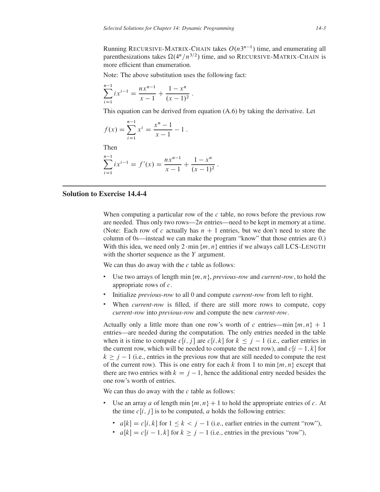Running RECURSIVE-MATRIX-CHAIN takes  $O(n3^{n-1})$  time, and enumerating all parenthesizations takes  $\Omega(4^n/n^{3/2})$  time, and so RECURSIVE-MATRIX-CHAIN is more efficient than enumeration.

Note: The above substitution uses the following fact:

$$
\sum_{i=1}^{n-1} ix^{i-1} = \frac{nx^{n-1}}{x-1} + \frac{1-x^n}{(x-1)^2}.
$$

This equation can be derived from equation (A.6) by taking the derivative. Let

$$
f(x) = \sum_{i=1}^{n-1} x^{i} = \frac{x^{n} - 1}{x - 1} - 1.
$$

Then

$$
\sum_{i=1}^{n-1} ix^{i-1} = f'(x) = \frac{nx^{n-1}}{x-1} + \frac{1-x^n}{(x-1)^2}.
$$

#### **Solution to Exercise 14.4-4**

When computing a particular row of the  $c$  table, no rows before the previous row are needed. Thus only two rows— $2n$  entries—need to be kept in memory at a time. (Note: Each row of c actually has  $n + 1$  entries, but we don't need to store the column of 0s—instead we can make the program "know" that those entries are 0.) With this idea, we need only  $2 \cdot \min \{m, n\}$  entries if we always call LCS-LENGTH with the shorter sequence as the Y argument.

We can thus do away with the  $c$  table as follows:

- Use two arrays of length min  $\{m, n\}$ , *previous-row* and *current-row*, to hold the appropriate rows of  $c$ .
- Initialize *previous*-*row* to all 0 and compute *current*-*row* from left to right.
- When *current*-*row* is filled, if there are still more rows to compute, copy *current*-*row* into *previous*-*row* and compute the new *current*-*row*.

Actually only a little more than one row's worth of c entries—min  $\{m, n\} + 1$ entries—are needed during the computation. The only entries needed in the table when it is time to compute  $c[i, j]$  are  $c[i, k]$  for  $k \leq j - 1$  (i.e., earlier entries in the current row, which will be needed to compute the next row), and  $c[i - 1, k]$  for  $k \geq j - 1$  (i.e., entries in the previous row that are still needed to compute the rest of the current row). This is one entry for each k from 1 to min  $\{m, n\}$  except that there are two entries with  $k = j - 1$ , hence the additional entry needed besides the one row's worth of entries.

We can thus do away with the  $c$  table as follows:

- Use an array a of length min  $\{m, n\} + 1$  to hold the appropriate entries of c. At the time  $c[i, j]$  is to be computed, a holds the following entries:
	- $a[k] = c[i, k]$  for  $1 \le k < j 1$  (i.e., earlier entries in the current "row"),
	- $a[k] = c[i 1, k]$  for  $k \geq j 1$  (i.e., entries in the previous "row"),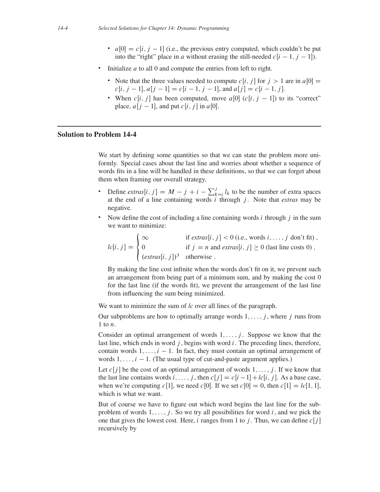- $a[0] = c[i, j 1]$  (i.e., the previous entry computed, which couldn't be put into the "right" place in a without erasing the still-needed  $c[i - 1, j - 1]$ .
- $\bullet$  Initialize *a* to all 0 and compute the entries from left to right.
	- Note that the three values needed to compute  $c[i, j]$  for  $j > 1$  are in  $a[0] =$  $c[i, j - 1], a[j - 1] = c[i - 1, j - 1],$  and  $a[j] = c[i - 1, j].$
	- When  $c[i, j]$  has been computed, move  $a[0]$   $(c[i, j 1])$  to its "correct" place,  $a[j - 1]$ , and put  $c[i, j]$  in  $a[0]$ .

#### **Solution to Problem 14-4**

We start by defining some quantities so that we can state the problem more uniformly. Special cases about the last line and worries about whether a sequence of words fits in a line will be handled in these definitions, so that we can forget about them when framing our overall strategy.

- Define *extras*[*i*, *j*] =  $M j + i \sum_{k=i}^{j} l_k$  to be the number of extra spaces at the end of a line containing words  $i$  through  $j$ . Note that *extras* may be negative.
- Now define the cost of including a line containing words i through  $\dot{j}$  in the sum we want to minimize:

$$
lc[i, j] = \begin{cases} \infty & \text{if extras[i, j] < 0 (i.e., words i, \dots, j don't fit), \\ 0 & \text{if } j = n \text{ and extras[i, j] \ge 0 (last line costs 0), \\ (extras[i, j])^3 & \text{otherwise.} \end{cases}
$$

By making the line cost infinite when the words don't fit on it, we prevent such an arrangement from being part of a minimum sum, and by making the cost 0 for the last line (if the words fit), we prevent the arrangement of the last line from influencing the sum being minimized.

We want to minimize the sum of *lc* over all lines of the paragraph.

Our subproblems are how to optimally arrange words  $1, \ldots, j$ , where j runs from 1 to  $n$ .

Consider an optimal arrangement of words  $1, \ldots, j$ . Suppose we know that the last line, which ends in word  $j$ , begins with word  $i$ . The preceding lines, therefore, contain words  $1, \ldots, i - 1$ . In fact, they must contain an optimal arrangement of words  $1, \ldots, i - 1$ . (The usual type of cut-and-paste argument applies.)

Let  $c[j]$  be the cost of an optimal arrangement of words  $1, \ldots, j$ . If we know that the last line contains words  $i, \ldots, j$ , then  $c[j] = c[i-1] + lc[i, j]$ . As a base case, when we're computing  $c[1]$ , we need  $c[0]$ . If we set  $c[0] = 0$ , then  $c[1] = lc[1, 1]$ , which is what we want.

But of course we have to figure out which word begins the last line for the subproblem of words  $1, \ldots, j$ . So we try all possibilities for word i, and we pick the one that gives the lowest cost. Here, i ranges from 1 to j. Thus, we can define  $c[j]$ recursively by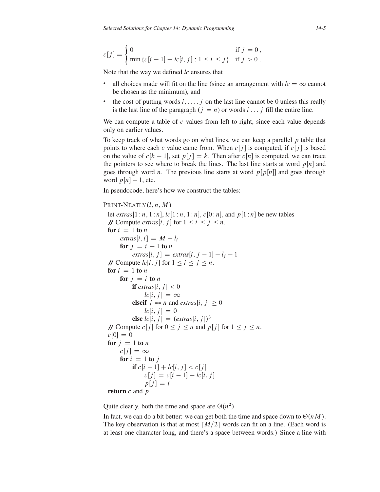$$
c[j] = \begin{cases} 0 & \text{if } j = 0, \\ \min\{c[i-1] + lc[i, j] : 1 \le i \le j\} & \text{if } j > 0. \end{cases}
$$

Note that the way we defined *lc* ensures that

- all choices made will fit on the line (since an arrangement with  $lc = \infty$  cannot be chosen as the minimum), and
- the cost of putting words  $i, \ldots, j$  on the last line cannot be 0 unless this really is the last line of the paragraph  $(j = n)$  or words  $i \dots j$  fill the entire line.

We can compute a table of  $c$  values from left to right, since each value depends only on earlier values.

To keep track of what words go on what lines, we can keep a parallel  $p$  table that points to where each c value came from. When  $c[j]$  is computed, if  $c[j]$  is based on the value of  $c[k - 1]$ , set  $p[j] = k$ . Then after  $c[n]$  is computed, we can trace the pointers to see where to break the lines. The last line starts at word  $p[n]$  and goes through word n. The previous line starts at word  $p[p_n]$  and goes through word  $p[n] - 1$ , etc.

In pseudocode, here's how we construct the tables:

```
PRINT-NEATLY(l, n, M)
```

```
let extras[1:n, 1:n], lc[1:n, 1:n], c[0:n], and p[1:n] be new tables
// Compute extras[i, j] for 1 \le i \le j \le n.
for i = 1 to n
    extras[i, i] = M - l_ifor j = i + 1 to n
        extras[i, j] = extras[i, j - 1] - l_j - 1// Compute lc[i, j] for 1 \le i \le j \le n.
for i = 1 to n
    for j = i to n
         if extras[i, j] < 0lc[i, j] = \inftyelseif j == n and extras[i, j] \ge 0lc[i, j] = 0else lc[i, j] = (extras[i, j])^3// Compute c[i] for 0 \leq i \leq n and p[i] for 1 \leq i \leq n.
c[0] = 0for j = 1 to n
    c[j] = \inftyfor i = 1 to jif c[i - 1] + lc[i, j] < c[j]c[j] = c[i - 1] + lc[i, j]p[i] = i
```
**return** c and p

Quite clearly, both the time and space are  $\Theta(n^2)$ .

In fact, we can do a bit better: we can get both the time and space down to  $\Theta(nM)$ . The key observation is that at most  $\lceil M/2 \rceil$  words can fit on a line. (Each word is at least one character long, and there's a space between words.) Since a line with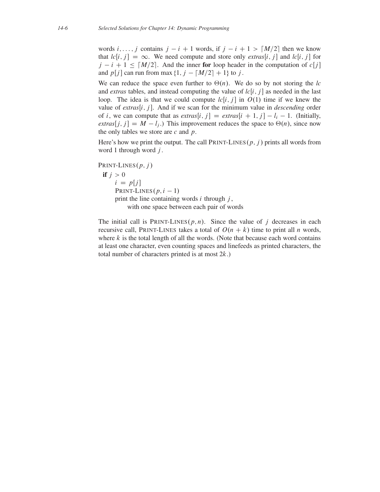words  $i, \ldots, j$  contains  $j - i + 1$  words, if  $j - i + 1 > \lceil M/2 \rceil$  then we know that  $lc[i, j] = \infty$ . We need compute and store only *extras*[*i*, *j*] and  $lc[i, j]$  for  $j - i + 1 \leq [M/2]$ . And the inner **for** loop header in the computation of c[j] and  $p[j]$  can run from max  $\{1, j - \lceil M/2 \rceil + 1\}$  to j.

We can reduce the space even further to  $\Theta(n)$ . We do so by not storing the *lc* and *extras* tables, and instead computing the value of  $lc[i, j]$  as needed in the last loop. The idea is that we could compute  $lc[i, j]$  in  $O(1)$  time if we knew the value of  $extras[i, j]$ . And if we scan for the minimum value in *descending* order of i, we can compute that as  $\text{extra}[i, j] = \text{extra}[i + 1, j] - l_i - 1$ . (Initially,  $extras[j, j] = M - l_i$ .) This improvement reduces the space to  $\Theta(n)$ , since now the only tables we store are  $c$  and  $p$ .

Here's how we print the output. The call PRINT-LINES  $(p, j)$  prints all words from word 1 through word  $j$ .

PRINT-LINES $(p, j)$ 

**if**  $j > 0$  $i = p[j]$ PRINT-LINES  $(p, i - 1)$ print the line containing words  $i$  through  $j$ , with one space between each pair of words

The initial call is PRINT-LINES $(p, n)$ . Since the value of j decreases in each recursive call, PRINT-LINES takes a total of  $O(n + k)$  time to print all n words, where  $k$  is the total length of all the words. (Note that because each word contains at least one character, even counting spaces and linefeeds as printed characters, the total number of characters printed is at most  $2k$ .)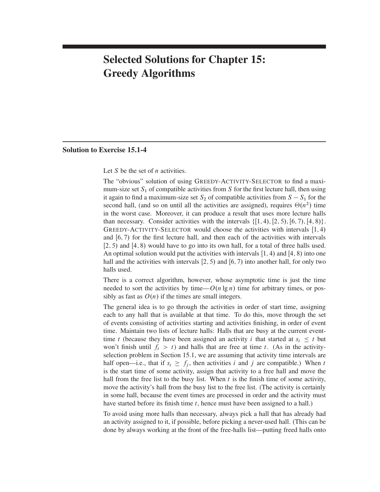# **Selected Solutions for Chapter 15: Greedy Algorithms**

## **Solution to Exercise 15.1-4**

Let S be the set of  $n$  activities.

The "obvious" solution of using GREEDY-ACTIVITY-SELECTOR to find a maximum-size set  $S_1$  of compatible activities from S for the first lecture hall, then using it again to find a maximum-size set  $S_2$  of compatible activities from  $S - S_1$  for the second hall, (and so on until all the activities are assigned), requires  $\Theta(n^2)$  time in the worst case. Moreover, it can produce a result that uses more lecture halls than necessary. Consider activities with the intervals  $\{[1, 4), [2, 5), [6, 7), [4, 8)\}.$ GREEDY-ACTIVITY-SELECTOR would choose the activities with intervals  $[1, 4)$ and  $[6, 7)$  for the first lecture hall, and then each of the activities with intervals  $[2, 5)$  and  $[4, 8)$  would have to go into its own hall, for a total of three halls used. An optimal solution would put the activities with intervals  $[1, 4)$  and  $[4, 8)$  into one hall and the activities with intervals  $[2, 5)$  and  $[6, 7)$  into another hall, for only two halls used.

There is a correct algorithm, however, whose asymptotic time is just the time needed to sort the activities by time— $O(n \lg n)$  time for arbitrary times, or possibly as fast as  $O(n)$  if the times are small integers.

The general idea is to go through the activities in order of start time, assigning each to any hall that is available at that time. To do this, move through the set of events consisting of activities starting and activities finishing, in order of event time. Maintain two lists of lecture halls: Halls that are busy at the current eventtime t (because they have been assigned an activity i that started at  $s_i \leq t$  but won't finish until  $f_i > t$ ) and halls that are free at time t. (As in the activityselection problem in Section 15.1, we are assuming that activity time intervals are half open—i.e., that if  $s_i \ge f_j$ , then activities i and j are compatible.) When t is the start time of some activity, assign that activity to a free hall and move the hall from the free list to the busy list. When  $t$  is the finish time of some activity, move the activity's hall from the busy list to the free list. (The activity is certainly in some hall, because the event times are processed in order and the activity must have started before its finish time  $t$ , hence must have been assigned to a hall.)

To avoid using more halls than necessary, always pick a hall that has already had an activity assigned to it, if possible, before picking a never-used hall. (This can be done by always working at the front of the free-halls list—putting freed halls onto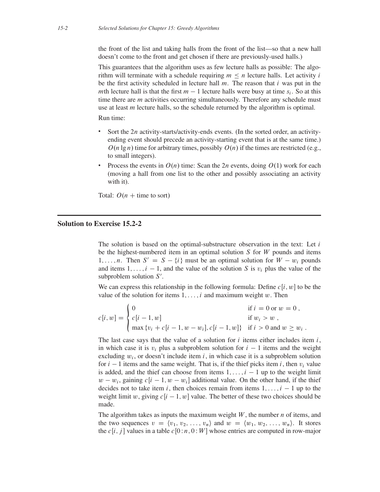the front of the list and taking halls from the front of the list—so that a new hall doesn't come to the front and get chosen if there are previously-used halls.)

This guarantees that the algorithm uses as few lecture halls as possible: The algorithm will terminate with a schedule requiring  $m \leq n$  lecture halls. Let activity i be the first activity scheduled in lecture hall  $m$ . The reason that i was put in the mth lecture hall is that the first  $m-1$  lecture halls were busy at time  $s_i$ . So at this time there are *m* activities occurring simultaneously. Therefore any schedule must use at least m lecture halls, so the schedule returned by the algorithm is optimal.

Run time:

- Sort the 2n activity-starts/activity-ends events. (In the sorted order, an activityending event should precede an activity-starting event that is at the same time.)  $O(n \lg n)$  time for arbitrary times, possibly  $O(n)$  if the times are restricted (e.g., to small integers).
- Process the events in  $O(n)$  time: Scan the 2n events, doing  $O(1)$  work for each (moving a hall from one list to the other and possibly associating an activity with it).

Total:  $O(n + \text{time to sort})$ 

## **Solution to Exercise 15.2-2**

The solution is based on the optimal-substructure observation in the text: Let  $i$ be the highest-numbered item in an optimal solution  $S$  for  $W$  pounds and items 1,..., *n*. Then  $S' = S - \{i\}$  must be an optimal solution for  $W - w_i$  pounds and items  $1, \ldots, i - 1$ , and the value of the solution S is  $v_i$  plus the value of the subproblem solution  $S'$ .

We can express this relationship in the following formula: Define  $c[i, w]$  to be the value of the solution for items  $1, \ldots, i$  and maximum weight w. Then

$$
c[i, w] = \begin{cases} 0 & \text{if } i = 0 \text{ or } w = 0, \\ c[i - 1, w] & \text{if } w_i > w, \\ \max \{v_i + c[i - 1, w - w_i], c[i - 1, w]\} & \text{if } i > 0 \text{ and } w \ge w_i. \end{cases}
$$

The last case says that the value of a solution for  $i$  items either includes item  $i$ , in which case it is  $v_i$  plus a subproblem solution for  $i - 1$  items and the weight excluding  $w_i$ , or doesn't include item i, in which case it is a subproblem solution for  $i - 1$  items and the same weight. That is, if the thief picks item i, then  $v_i$  value is added, and the thief can choose from items  $1, \ldots, i - 1$  up to the weight limit  $w - w_i$ , gaining  $c[i - 1, w - w_i]$  additional value. On the other hand, if the thief decides not to take item i, then choices remain from items  $1, \ldots, i - 1$  up to the weight limit w, giving  $c[i - 1, w]$  value. The better of these two choices should be made.

The algorithm takes as inputs the maximum weight  $W$ , the number  $n$  of items, and the two sequences  $v = \langle v_1, v_2, \ldots, v_n \rangle$  and  $w = \langle w_1, w_2, \ldots, w_n \rangle$ . It stores the c[i, j] values in a table c[0 : n, 0 : W] whose entries are computed in row-major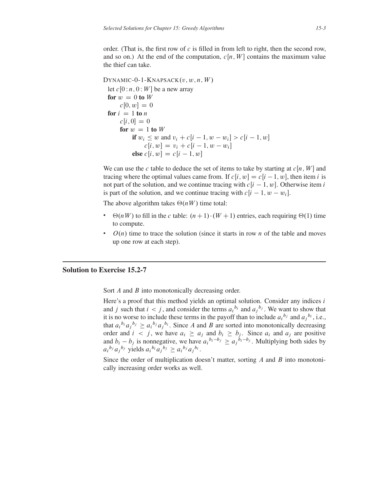order. (That is, the first row of c is filled in from left to right, then the second row, and so on.) At the end of the computation,  $c[n, W]$  contains the maximum value the thief can take.

DYNAMIC-0-1-KNAPSACK $(v, w, n, W)$ let  $c[0:n, 0:W]$  be a new array **for**  $w = 0$  **to** W

 $c[0, w] = 0$ **for**  $i = 1$  **to** n  $c[i, 0] = 0$ for  $w = 1$  to  $W$ **if**  $w_i \leq w$  and  $v_i + c[i-1, w - w_i] > c[i-1, w]$  $c[i, w] = v_i + c[i - 1, w - w_i]$ **else**  $c[i, w] = c[i - 1, w]$ 

We can use the c table to deduce the set of items to take by starting at  $c[n, W]$  and tracing where the optimal values came from. If  $c[i, w] = c[i - 1, w]$ , then item i is not part of the solution, and we continue tracing with  $c[i - 1, w]$ . Otherwise item i is part of the solution, and we continue tracing with  $c[i - 1, w - w_i]$ .

The above algorithm takes  $\Theta(nW)$  time total:

- $\bullet$   $\Theta(nW)$  to fill in the c table:  $(n+1) \cdot (W + 1)$  entries, each requiring  $\Theta(1)$  time to compute.
- $\bullet$  O(n) time to trace the solution (since it starts in row n of the table and moves up one row at each step).

# **Solution to Exercise 15.2-7**

Sort A and B into monotonically decreasing order.

Here's a proof that this method yields an optimal solution. Consider any indices  $i$ and j such that  $i < j$ , and consider the terms  $a_i^{b_i}$  and  $a_j^{b_j}$ . We want to show that it is no worse to include these terms in the payoff than to include  $a_i{}^{b_j}$  and  $a_j{}^{b_i}$ , i.e., that  $a_i{}^{b_i} a_j{}^{b_j} \geq a_i{}^{b_j} a_j{}^{b_i}$ . Since A and B are sorted into monotonically decreasing order and  $i < j$ , we have  $a_i \ge a_j$  and  $b_i \ge b_j$ . Since  $a_i$  and  $a_j$  are positive and  $b_i - b_j$  is nonnegative, we have  $a_i^{b_i - b_j} \ge a_j^{b_i - b_j}$ . Multiplying both sides by  $a_i{}^{b_j} a_j{}^{b_j}$  yields  $a_i{}^{b_i} a_j{}^{b_j} \geq a_i{}^{b_j} a_j{}^{b_i}$ .

Since the order of multiplication doesn't matter, sorting  $A$  and  $B$  into monotonically increasing order works as well.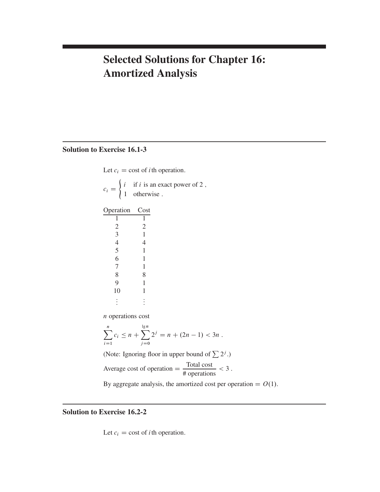# **Selected Solutions for Chapter 16: Amortized Analysis**

# **Solution to Exercise 16.1-3**

Let  $c_i$  = cost of *i*th operation.

|   | $c_i = \begin{cases} i & \text{if } i \text{ is an exact power of 2,} \\ 1 & \text{otherwise.} \end{cases}$ |
|---|-------------------------------------------------------------------------------------------------------------|
|   |                                                                                                             |
|   |                                                                                                             |
| 2 |                                                                                                             |
|   |                                                                                                             |
| 4 |                                                                                                             |
|   |                                                                                                             |
|   |                                                                                                             |
| 1 |                                                                                                             |
| 8 |                                                                                                             |
|   |                                                                                                             |
|   |                                                                                                             |
|   |                                                                                                             |
|   | Operation Cost                                                                                              |

 $n$  operations cost

$$
\sum_{i=1}^{n} c_i \le n + \sum_{j=0}^{\lg n} 2^j = n + (2n - 1) < 3n \,.
$$
\n(Note: Ignoring floor in upper bound of  $\sum 2^j$ .)

\nAverage cost of operation =  $\frac{\text{Total cost}}{\text{# operations}} < 3$ .

By aggregate analysis, the amortized cost per operation  $= O(1)$ .

# **Solution to Exercise 16.2-2**

Let  $c_i$  = cost of *i*th operation.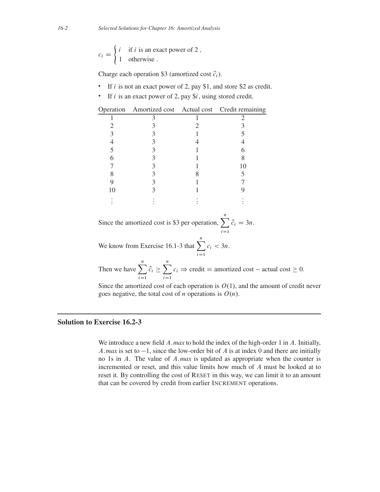$$
c_i = \begin{cases} i & \text{if } i \text{ is an exact power of 2,} \\ 1 & \text{otherwise.} \end{cases}
$$

Charge each operation \$3 (amortized cost  $\hat{c}_i$ ).

- If i is not an exact power of 2, pay \$1, and store \$2 as credit.
- If i is an exact power of 2, pay  $\overline{si}$ , using stored credit.

|  | Operation Amortized cost Actual cost Credit remaining |
|--|-------------------------------------------------------|
|  |                                                       |
|  |                                                       |
|  |                                                       |
|  |                                                       |
|  |                                                       |
|  |                                                       |
|  | 10                                                    |
|  |                                                       |
|  |                                                       |
|  |                                                       |
|  |                                                       |
|  |                                                       |

Since the amortized cost is \$3 per operation,  $\sum_{n=1}^n$  $i=1$  $\widehat{c}_i = 3n$ .

We know from Exercise 16.1-3 that  $\sum_{n=1}^n$  $i=1$  $c_i < 3n$ .

Then we have  $\sum_{n=1}^n$  $i=1$  $\widehat{c}_i \geq \sum_{i=1}^n$  $i=1$  $c_i \Rightarrow$  credit = amortized cost - actual cost  $\geq 0$ .

Since the amortized cost of each operation is  $O(1)$ , and the amount of credit never goes negative, the total cost of *n* operations is  $O(n)$ .

#### **Solution to Exercise 16.2-3**

We introduce a new field A.*max* to hold the index of the high-order 1 in A. Initially, A *max* is set to  $-1$ , since the low-order bit of A is at index 0 and there are initially no 1s in A. The value of A:*max* is updated as appropriate when the counter is incremented or reset, and this value limits how much of A must be looked at to reset it. By controlling the cost of RESET in this way, we can limit it to an amount that can be covered by credit from earlier INCREMENT operations.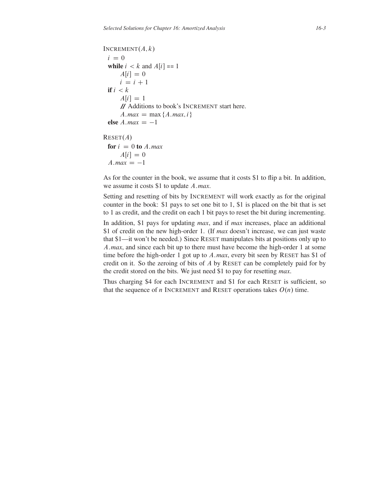```
INCREMENT(A, k)i = 0while i < k and A[i] == 1A[i] = 0i = i + 1if i < kA[i] = 1// Additions to book's INCREMENT start here.
     A.max = \max\{A.max, i\}else Amax = -1RESET(A)for i = 0 to A.max
     A[i] = 0A.max = -1
```
As for the counter in the book, we assume that it costs \$1 to flip a bit. In addition, we assume it costs \$1 to update A:*max*.

Setting and resetting of bits by INCREMENT will work exactly as for the original counter in the book: \$1 pays to set one bit to 1, \$1 is placed on the bit that is set to 1 as credit, and the credit on each 1 bit pays to reset the bit during incrementing.

In addition, \$1 pays for updating *max*, and if *max* increases, place an additional \$1 of credit on the new high-order 1. (If *max* doesn't increase, we can just waste that \$1—it won't be needed.) Since RESET manipulates bits at positions only up to A:*max*, and since each bit up to there must have become the high-order 1 at some time before the high-order 1 got up to A:*max*, every bit seen by RESET has \$1 of credit on it. So the zeroing of bits of A by RESET can be completely paid for by the credit stored on the bits. We just need \$1 to pay for resetting *max*.

Thus charging \$4 for each INCREMENT and \$1 for each RESET is sufficient, so that the sequence of n INCREMENT and RESET operations takes  $O(n)$  time.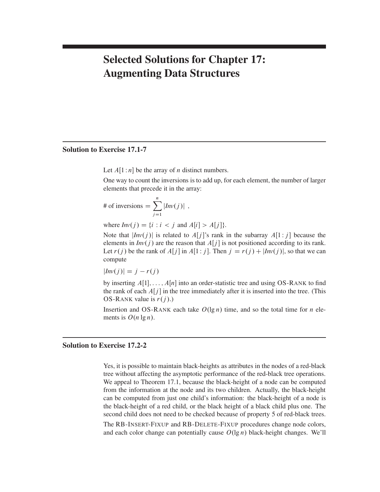# **Selected Solutions for Chapter 17: Augmenting Data Structures**

# **Solution to Exercise 17.1-7**

Let  $A[1:n]$  be the array of *n* distinct numbers.

One way to count the inversions is to add up, for each element, the number of larger elements that precede it in the array:

# of inversions = 
$$
\sum_{j=1}^{n} |Inv(j)|,
$$

where  $Inv(j) = \{i : i < j \text{ and } A[i] > A[j]\}.$ 

Note that  $|Inv(j)|$  is related to  $A[j]$ 's rank in the subarray  $A[1:j]$  because the elements in  $Inv(j)$  are the reason that  $A[j]$  is not positioned according to its rank. Let  $r(j)$  be the rank of  $A[j]$  in  $A[1:j]$ . Then  $j = r(j) + |Inv(j)|$ , so that we can compute

$$
|Inv(j)| = j - r(j)
$$

by inserting  $A[1], \ldots, A[n]$  into an order-statistic tree and using OS-RANK to find the rank of each  $A[j]$  in the tree immediately after it is inserted into the tree. (This OS-RANK value is  $r(j)$ .)

Insertion and OS-RANK each take  $O(\lg n)$  time, and so the total time for n elements is  $O(n \lg n)$ .

## **Solution to Exercise 17.2-2**

Yes, it is possible to maintain black-heights as attributes in the nodes of a red-black tree without affecting the asymptotic performance of the red-black tree operations. We appeal to Theorem 17.1, because the black-height of a node can be computed from the information at the node and its two children. Actually, the black-height can be computed from just one child's information: the black-height of a node is the black-height of a red child, or the black height of a black child plus one. The second child does not need to be checked because of property 5 of red-black trees.

The RB-INSERT-FIXUP and RB-DELETE-FIXUP procedures change node colors, and each color change can potentially cause  $O(\lg n)$  black-height changes. We'll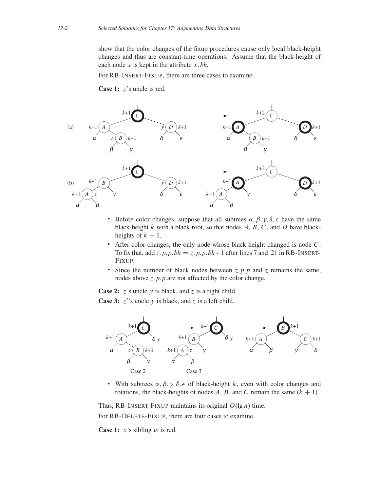show that the color changes of the fixup procedures cause only local black-height changes and thus are constant-time operations. Assume that the black-height of each node x is kept in the attribute x:*bh*.

For RB-INSERT-FIXUP, there are three cases to examine.

**Case 1:**  $z$ 's uncle is red.



- Before color changes, suppose that all subtrees  $\alpha, \beta, \gamma, \delta, \epsilon$  have the same black-height  $k$  with a black root, so that nodes  $A, B, C$ , and  $D$  have blackheights of  $k + 1$ .
- $\bullet$  After color changes, the only node whose black-height changed is node  $C$ . To fix that, add  $z.p.p.bh = z.p.p.bh + 1$  after lines 7 and 21 in RB-INSERT-FIXUP.
- Since the number of black nodes between  $z, p, p$  and  $z$  remains the same, nodes above  $z$ *.p*.*p* are not affected by the color change.

**Case 2:**  $z$ 's uncle  $y$  is black, and  $z$  is a right child.

**Case 3:**  $z$ ''s uncle y is black, and  $z$  is a left child.



• With subtrees  $\alpha$ ,  $\beta$ ,  $\gamma$ ,  $\delta$ ,  $\epsilon$  of black-height k, even with color changes and rotations, the black-heights of nodes A, B, and C remain the same  $(k + 1)$ .

Thus, RB-INSERT-FIXUP maintains its original  $O(\lg n)$  time. For RB-DELETE-FIXUP, there are four cases to examine.

**Case 1:**  $x$ 's sibling  $w$  is red.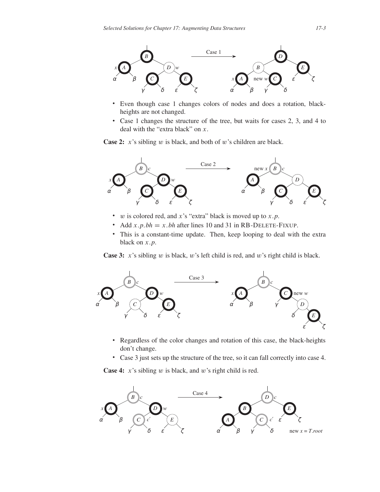

- Even though case 1 changes colors of nodes and does a rotation, blackheights are not changed.
- Case 1 changes the structure of the tree, but waits for cases 2, 3, and 4 to deal with the "extra black" on  $x$ .

**Case 2:** x's sibling w is black, and both of w's children are black.



- w is colored red, and x's "extra" black is moved up to x:*p*.
- Add  $x.p.bh = x.bh$  after lines 10 and 31 in RB-DELETE-FIXUP.
- This is a constant-time update. Then, keep looping to deal with the extra black on x:*p*.

**Case 3:** x's sibling w is black, w's left child is red, and w's right child is black.



- Regardless of the color changes and rotation of this case, the black-heights don't change.
- Case 3 just sets up the structure of the tree, so it can fall correctly into case 4.

**Case 4:** x's sibling w is black, and w's right child is red.

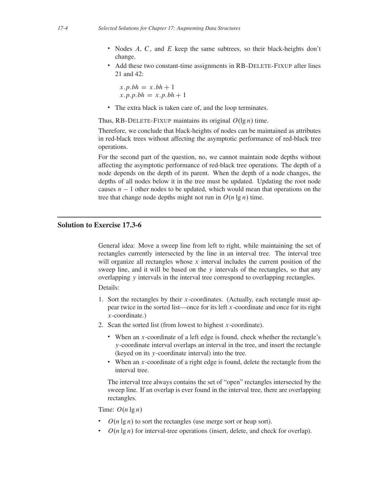- Nodes  $A, C$ , and  $E$  keep the same subtrees, so their black-heights don't change.
- Add these two constant-time assignments in RB-DELETE-FIXUP after lines 21 and 42:

 $x.p.bh = x.bh + 1$  $x.p.p.bh = x.p.bh + 1$ 

The extra black is taken care of, and the loop terminates.

Thus, RB-DELETE-FIXUP maintains its original  $O(\lg n)$  time.

Therefore, we conclude that black-heights of nodes can be maintained as attributes in red-black trees without affecting the asymptotic performance of red-black tree operations.

For the second part of the question, no, we cannot maintain node depths without affecting the asymptotic performance of red-black tree operations. The depth of a node depends on the depth of its parent. When the depth of a node changes, the depths of all nodes below it in the tree must be updated. Updating the root node causes  $n - 1$  other nodes to be updated, which would mean that operations on the tree that change node depths might not run in  $O(n \lg n)$  time.

# **Solution to Exercise 17.3-6**

General idea: Move a sweep line from left to right, while maintaining the set of rectangles currently intersected by the line in an interval tree. The interval tree will organize all rectangles whose  $x$  interval includes the current position of the sweep line, and it will be based on the  $y$  intervals of the rectangles, so that any overlapping  $\nu$  intervals in the interval tree correspond to overlapping rectangles.

Details:

- 1. Sort the rectangles by their  $x$ -coordinates. (Actually, each rectangle must appear twice in the sorted list—once for its left x-coordinate and once for its right x-coordinate.)
- 2. Scan the sorted list (from lowest to highest  $x$ -coordinate).
	- When an x-coordinate of a left edge is found, check whether the rectangle's y-coordinate interval overlaps an interval in the tree, and insert the rectangle (keyed on its y-coordinate interval) into the tree.
	- When an x-coordinate of a right edge is found, delete the rectangle from the interval tree.

The interval tree always contains the set of "open" rectangles intersected by the sweep line. If an overlap is ever found in the interval tree, there are overlapping rectangles.

Time:  $O(n \lg n)$ 

- $\bullet$   $O(n \lg n)$  to sort the rectangles (use merge sort or heap sort).
- $\bullet$   $O(n \lg n)$  for interval-tree operations (insert, delete, and check for overlap).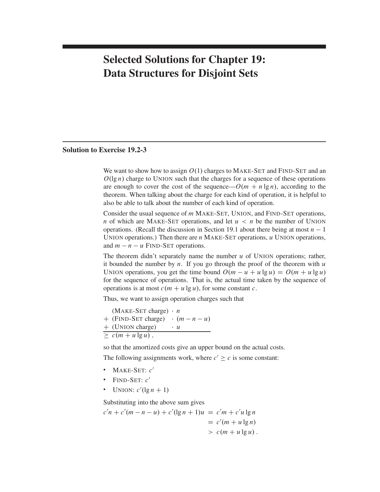# **Selected Solutions for Chapter 19: Data Structures for Disjoint Sets**

# **Solution to Exercise 19.2-3**

We want to show how to assign  $O(1)$  charges to MAKE-SET and FIND-SET and an  $O(\lg n)$  charge to UNION such that the charges for a sequence of these operations are enough to cover the cost of the sequence— $O(m + n \lg n)$ , according to the theorem. When talking about the charge for each kind of operation, it is helpful to also be able to talk about the number of each kind of operation.

Consider the usual sequence of m MAKE-SET, UNION, and FIND-SET operations, n of which are MAKE-SET operations, and let  $u < n$  be the number of UNION operations. (Recall the discussion in Section 19.1 about there being at most  $n - 1$ UNION operations.) Then there are  $n$  MAKE-SET operations,  $u$  UNION operations, and  $m - n - u$  FIND-SET operations.

The theorem didn't separately name the number  $u$  of UNION operations; rather, it bounded the number by  $n$ . If you go through the proof of the theorem with  $u$ UNION operations, you get the time bound  $O(m - u + u \lg u) = O(m + u \lg u)$ for the sequence of operations. That is, the actual time taken by the sequence of operations is at most  $c(m + u \lg u)$ , for some constant c.

Thus, we want to assign operation charges such that

(MAKE-SET charge)  $\cdot$  n  $+$  (FIND-SET charge)  $\cdot$   $(m - n - u)$  $+$  (UNION charge)  $\cdot u$  $\geq c(m + u \lg u)$ ,

so that the amortized costs give an upper bound on the actual costs. The following assignments work, where  $c' \geq c$  is some constant:

- MAKE-SET:  $c'$
- FIND-SET:  $c'$
- UNION:  $c'(\lg n + 1)$

Substituting into the above sum gives

 $c'n + c'(m-n-u) + c'(\lg n + 1)u = c'm + c'u \lg n$  $= c'(m + u \lg n)$  $> c(m + u \lg u)$ .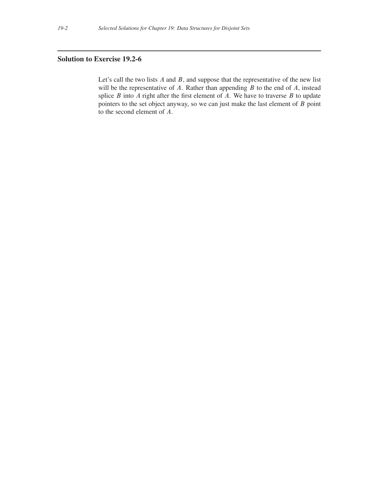# **Solution to Exercise 19.2-6**

Let's call the two lists  $A$  and  $B$ , and suppose that the representative of the new list will be the representative of  $A$ . Rather than appending  $B$  to the end of  $A$ , instead splice  $B$  into  $\overline{A}$  right after the first element of  $\overline{A}$ . We have to traverse  $\overline{B}$  to update pointers to the set object anyway, so we can just make the last element of  $B$  point to the second element of A.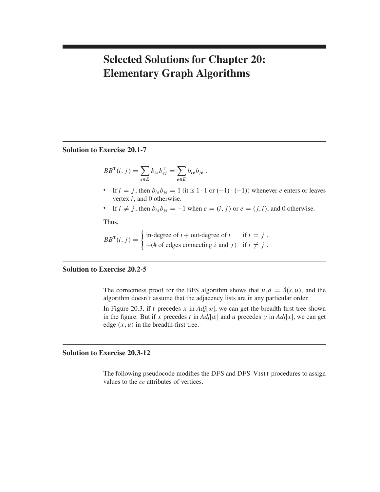# **Selected Solutions for Chapter 20: Elementary Graph Algorithms**

## **Solution to Exercise 20.1-7**

$$
BBT(i, j) = \sum_{e \in E} b_{ie} b_{ej}^{T} = \sum_{e \in E} b_{ie} b_{je}.
$$

- If  $i = j$ , then  $b_{ie}b_{je} = 1$  (it is  $1 \cdot 1$  or  $(-1) \cdot (-1)$ ) whenever *e* enters or leaves vertex  $i$ , and 0 otherwise.
- If  $i \neq j$ , then  $b_{ie}b_{je} = -1$  when  $e = (i, j)$  or  $e = (j, i)$ , and 0 otherwise.

Thus,

$$
BB^{T}(i, j) = \begin{cases} \text{in-degree of } i + \text{out-degree of } i & \text{if } i = j, \\ -(\# \text{ of edges connecting } i \text{ and } j) & \text{if } i \neq j. \end{cases}
$$

# **Solution to Exercise 20.2-5**

The correctness proof for the BFS algorithm shows that  $u.d = \delta(s, u)$ , and the algorithm doesn't assume that the adjacency lists are in any particular order.

In Figure 20.3, if t precedes x in  $Adj[w]$ , we can get the breadth-first tree shown in the figure. But if x precedes t in  $Adj[w]$  and u precedes y in  $Adj[x]$ , we can get edge  $(x, u)$  in the breadth-first tree.

### **Solution to Exercise 20.3-12**

The following pseudocode modifies the DFS and DFS-VISIT procedures to assign values to the *cc* attributes of vertices.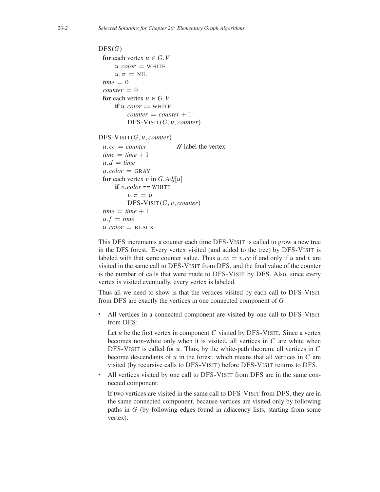```
DFS(G)for each vertex u \in G. V
     u.color = WHITE
     u \cdot \pi = \text{NIL}time = 0counter = 0for each vertex u \in G. V
     if u:color == WHITE
         counter = counter + 1DFS-VIST(G, u, counter)DFS-VISIT(G, u, counter)u.cc = counter // label the vertex
 time = time + 1u.d = timeu.color = GRAY
 for each vertex v in G. Adj[u]if v:color == WHITE
         v.\pi = uDFS-VIST(G, v, counter)time = time + 1u.f = timeu.color = BLACK
```
This DFS increments a counter each time DFS-VISIT is called to grow a new tree in the DFS forest. Every vertex visited (and added to the tree) by DFS-VISIT is labeled with that same counter value. Thus  $u$ ,  $cc = v$ ,  $cc$  if and only if u and v are visited in the same call to DFS-VISIT from DFS, and the final value of the counter is the number of calls that were made to DFS-VISIT by DFS. Also, since every vertex is visited eventually, every vertex is labeled.

Thus all we need to show is that the vertices visited by each call to DFS-VISIT from DFS are exactly the vertices in one connected component of G.

 All vertices in a connected component are visited by one call to DFS-VISIT from DFS:

Let  $u$  be the first vertex in component C visited by DFS-VISIT. Since a vertex becomes non-white only when it is visited, all vertices in C are white when DFS-VISIT is called for  $u$ . Thus, by the white-path theorem, all vertices in  $C$ become descendants of  $u$  in the forest, which means that all vertices in  $C$  are visited (by recursive calls to DFS-VISIT) before DFS-VISIT returns to DFS.

 All vertices visited by one call to DFS-VISIT from DFS are in the same connected component:

If two vertices are visited in the same call to DFS-VISIT from DFS, they are in the same connected component, because vertices are visited only by following paths in G (by following edges found in adjacency lists, starting from some vertex).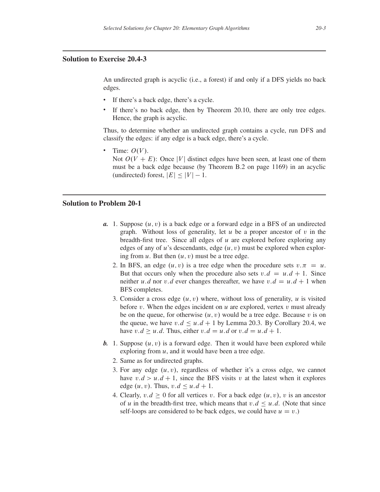### **Solution to Exercise 20.4-3**

An undirected graph is acyclic (i.e., a forest) if and only if a DFS yields no back edges.

- If there's a back edge, there's a cycle.
- If there's no back edge, then by Theorem 20.10, there are only tree edges. Hence, the graph is acyclic.

Thus, to determine whether an undirected graph contains a cycle, run DFS and classify the edges: if any edge is a back edge, there's a cycle.

• Time:  $O(V)$ . Not  $O(V + E)$ : Once |V| distinct edges have been seen, at least one of them must be a back edge because (by Theorem B.2 on page 1169) in an acyclic (undirected) forest,  $|E| \leq |V| - 1$ .

### **Solution to Problem 20-1**

- *a.* 1. Suppose  $(u, v)$  is a back edge or a forward edge in a BFS of an undirected graph. Without loss of generality, let  $u$  be a proper ancestor of  $v$  in the breadth-first tree. Since all edges of  $u$  are explored before exploring any edges of any of u's descendants, edge  $(u, v)$  must be explored when exploring from  $u$ . But then  $(u, v)$  must be a tree edge.
	- 2. In BFS, an edge  $(u, v)$  is a tree edge when the procedure sets  $v.\pi = u$ . But that occurs only when the procedure also sets  $v.d = u.d + 1$ . Since neither u.*d* nor v.*d* ever changes thereafter, we have  $v.d = u.d + 1$  when BFS completes.
	- 3. Consider a cross edge  $(u, v)$  where, without loss of generality, u is visited before  $v$ . When the edges incident on  $u$  are explored, vertex  $v$  must already be on the queue, for otherwise  $(u, v)$  would be a tree edge. Because v is on the queue, we have  $v.d \le u.d + 1$  by Lemma 20.3. By Corollary 20.4, we have  $v.d \ge u.d$ . Thus, either  $v.d = u.d$  or  $v.d = u.d + 1$ .
- **b.** 1. Suppose  $(u, v)$  is a forward edge. Then it would have been explored while exploring from  $u$ , and it would have been a tree edge.
	- 2. Same as for undirected graphs.
	- 3. For any edge  $(u, v)$ , regardless of whether it's a cross edge, we cannot have  $v.d > u.d + 1$ , since the BFS visits v at the latest when it explores edge  $(u, v)$ . Thus,  $v.d \le u.d + 1$ .
	- 4. Clearly,  $v.d \geq 0$  for all vertices v. For a back edge  $(u, v)$ , v is an ancestor of u in the breadth-first tree, which means that  $v.d \leq u.d$ . (Note that since self-loops are considered to be back edges, we could have  $u = v$ .)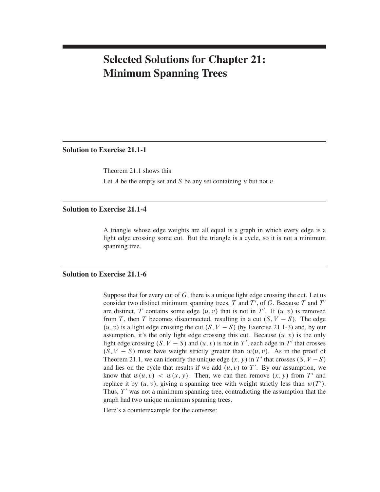# **Selected Solutions for Chapter 21: Minimum Spanning Trees**

# **Solution to Exercise 21.1-1**

Theorem 21.1 shows this.

Let  $A$  be the empty set and  $S$  be any set containing  $u$  but not  $v$ .

# **Solution to Exercise 21.1-4**

A triangle whose edge weights are all equal is a graph in which every edge is a light edge crossing some cut. But the triangle is a cycle, so it is not a minimum spanning tree.

# **Solution to Exercise 21.1-6**

Suppose that for every cut of  $G$ , there is a unique light edge crossing the cut. Let us consider two distinct minimum spanning trees,  $T$  and  $T'$ , of  $G$ . Because  $T$  and  $T'$ are distinct, T contains some edge  $(u, v)$  that is not in T'. If  $(u, v)$  is removed from T, then T becomes disconnected, resulting in a cut  $(S, V - S)$ . The edge  $(u, v)$  is a light edge crossing the cut  $(S, V - S)$  (by Exercise 21.1-3) and, by our assumption, it's the only light edge crossing this cut. Because  $(u, v)$  is the only light edge crossing  $(S, V - S)$  and  $(u, v)$  is not in T', each edge in T' that crosses  $(S, V - S)$  must have weight strictly greater than  $w(u, v)$ . As in the proof of Theorem 21.1, we can identify the unique edge  $(x, y)$  in T' that crosses  $(S, V - S)$ and lies on the cycle that results if we add  $(u, v)$  to T'. By our assumption, we know that  $w(u, v) < w(x, y)$ . Then, we can then remove  $(x, y)$  from T' and replace it by  $(u, v)$ , giving a spanning tree with weight strictly less than  $w(T')$ . Thus,  $T'$  was not a minimum spanning tree, contradicting the assumption that the graph had two unique minimum spanning trees.

Here's a counterexample for the converse: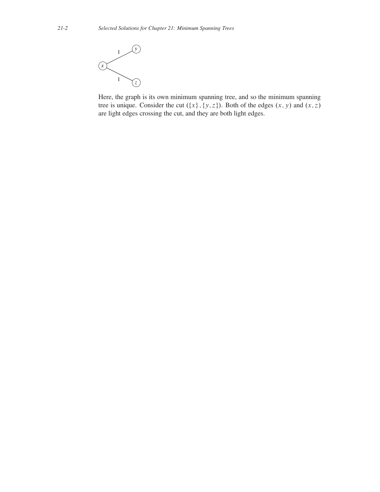

Here, the graph is its own minimum spanning tree, and so the minimum spanning tree is unique. Consider the cut  $({x}, {y}, {z})$ . Both of the edges  $(x, y)$  and  $(x, z)$ are light edges crossing the cut, and they are both light edges.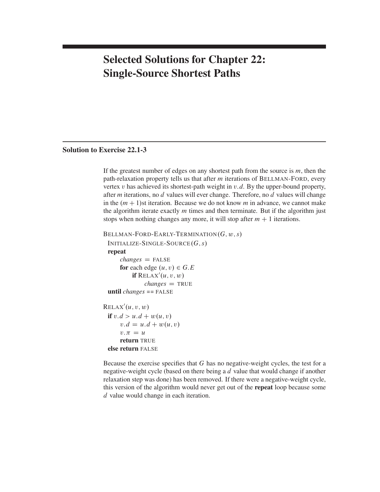# **Selected Solutions for Chapter 22: Single-Source Shortest Paths**

# **Solution to Exercise 22.1-3**

If the greatest number of edges on any shortest path from the source is  $m$ , then the path-relaxation property tells us that after  $m$  iterations of BELLMAN-FORD, every vertex v has achieved its shortest-path weight in  $v.d.$  By the upper-bound property, after m iterations, no d values will ever change. Therefore, no d values will change in the  $(m + 1)$ st iteration. Because we do not know m in advance, we cannot make the algorithm iterate exactly  $m$  times and then terminate. But if the algorithm just stops when nothing changes any more, it will stop after  $m + 1$  iterations.

```
BELLMAN-FORD-EARLY-TERMINATION(G, w, s)
```

```
INITIALIZE-SINGLE-SOURCE(G, s)repeat
     changes = FALSEfor each edge (u, v) \in G.Eif RELAX'(u, v, w)changes = TRUEuntil changes == FALSE
RELAX'(u, v, w)if v.d > u.d + w(u, v)v.d = u.d + w(u, v)v.\pi = ureturn TRUE
 else return FALSE
```
Because the exercise specifies that  $G$  has no negative-weight cycles, the test for a negative-weight cycle (based on there being a d value that would change if another relaxation step was done) has been removed. If there were a negative-weight cycle, this version of the algorithm would never get out of the **repeat** loop because some d value would change in each iteration.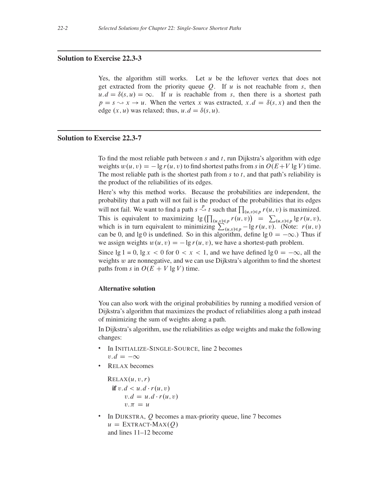### **Solution to Exercise 22.3-3**

Yes, the algorithm still works. Let  $u$  be the leftover vertex that does not get extracted from the priority queue  $Q$ . If u is not reachable from s, then  $u.d = \delta(s, u) = \infty$ . If u is reachable from s, then there is a shortest path  $p = s \rightarrow x \rightarrow u$ . When the vertex x was extracted,  $x.d = \delta(s, x)$  and then the edge  $(x, u)$  was relaxed; thus,  $u.d = \delta(s, u)$ .

### **Solution to Exercise 22.3-7**

To find the most reliable path between s and t, run Dijkstra's algorithm with edge weights  $w(u, v) = -\lg r(u, v)$  to find shortest paths from s in  $O(E+V \lg V)$  time. The most reliable path is the shortest path from  $s$  to  $t$ , and that path's reliability is the product of the reliabilities of its edges.

Here's why this method works. Because the probabilities are independent, the probability that a path will not fail is the product of the probabilities that its edges will not fail. We want to find a path  $s \stackrel{p}{\rightsquigarrow} t$  such that  $\prod_{(u,v)\in p} r(u,v)$  is maximized. This is equivalent to maximizing  $\lg(\prod_{(u,v)\in p} r(u,v)) = \sum_{(u,v)\in p} \lg r(u,v)$ , which is in turn equivalent to minimizing  $\sum_{(u,v)\in p} -\lg r(u,v)$ . (Note:  $r(u,v)$ ) can be 0, and lg 0 is undefined. So in this algorithm, define lg  $0 = -\infty$ .) Thus if we assign weights  $w(u, v) = -\lg r(u, v)$ , we have a shortest-path problem.

Since lg 1 = 0, lg  $x < 0$  for  $0 < x < 1$ , and we have defined lg  $0 = -\infty$ , all the weights  $w$  are nonnegative, and we can use Dijkstra's algorithm to find the shortest paths from s in  $O(E + V \lg V)$  time.

#### **Alternative solution**

You can also work with the original probabilities by running a modified version of Dijkstra's algorithm that maximizes the product of reliabilities along a path instead of minimizing the sum of weights along a path.

In Dijkstra's algorithm, use the reliabilities as edge weights and make the following changes:

- In INITIALIZE-SINGLE-SOURCE, line 2 becomes  $v.d = -\infty$
- RELAX becomes

 $RELAX(u, v, r)$ 

**if**  $v.d < u.d \cdot r(u,v)$  $v.d = u.d \cdot r(u, v)$  $v.\pi = u$ 

• In DIJKSTRA,  $Q$  becomes a max-priority queue, line 7 becomes  $u =$  EXTRACT-MAX $(0)$ and lines 11–12 become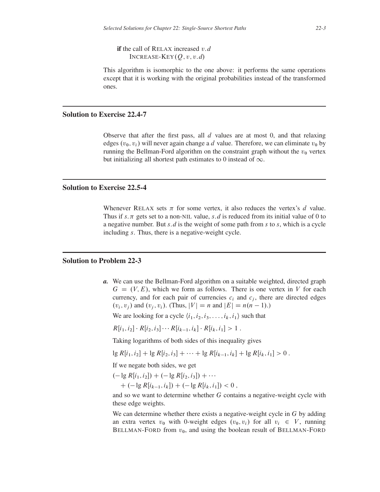**if** the call of RELAX increased v.d INCREASE-KEY $(Q, v, v, d)$ 

This algorithm is isomorphic to the one above: it performs the same operations except that it is working with the original probabilities instead of the transformed ones.

#### **Solution to Exercise 22.4-7**

Observe that after the first pass, all  $d$  values are at most 0, and that relaxing edges  $(v_0, v_i)$  will never again change a d value. Therefore, we can eliminate  $v_0$  by running the Bellman-Ford algorithm on the constraint graph without the  $v_0$  vertex but initializing all shortest path estimates to 0 instead of  $\infty$ .

## **Solution to Exercise 22.5-4**

Whenever RELAX sets  $\pi$  for some vertex, it also reduces the vertex's d value. Thus if s.  $\pi$  gets set to a non-NIL value, s.d is reduced from its initial value of 0 to a negative number. But s:*d* is the weight of some path from s to s, which is a cycle including s. Thus, there is a negative-weight cycle.

#### **Solution to Problem 22-3**

*a.* We can use the Bellman-Ford algorithm on a suitable weighted, directed graph  $G = (V, E)$ , which we form as follows. There is one vertex in V for each currency, and for each pair of currencies  $c_i$  and  $c_j$ , there are directed edges  $(v_i, v_j)$  and  $(v_j, v_i)$ . (Thus,  $|V| = n$  and  $|E| = n(n - 1)$ .)

We are looking for a cycle  $\langle i_1, i_2, i_3, \ldots, i_k, i_1 \rangle$  such that

 $R[i_1, i_2] \cdot R[i_2, i_3] \cdots R[i_{k-1}, i_k] \cdot R[i_k, i_1] > 1$ .

Taking logarithms of both sides of this inequality gives

 $\lg R[i_1, i_2] + \lg R[i_2, i_3] + \cdots + \lg R[i_{k-1}, i_k] + \lg R[i_k, i_1] > 0$ .

If we negate both sides, we get

 $(-\lg R[i_1, i_2]) + (-\lg R[i_2, i_3]) + \cdots$ 

 $+(-\lg R[i_{k-1}, i_k]) + (-\lg R[i_k, i_1]) < 0$ ,

and so we want to determine whether G contains a negative-weight cycle with these edge weights.

We can determine whether there exists a negative-weight cycle in  $G$  by adding an extra vertex  $v_0$  with 0-weight edges  $(v_0, v_i)$  for all  $v_i \in V$ , running BELLMAN-FORD from  $v_0$ , and using the boolean result of BELLMAN-FORD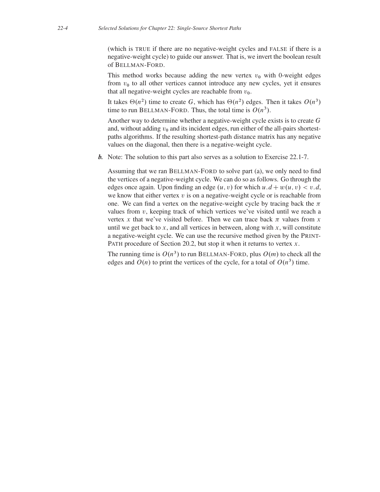(which is TRUE if there are no negative-weight cycles and FALSE if there is a negative-weight cycle) to guide our answer. That is, we invert the boolean result of BELLMAN-FORD.

This method works because adding the new vertex  $v_0$  with 0-weight edges from  $v_0$  to all other vertices cannot introduce any new cycles, yet it ensures that all negative-weight cycles are reachable from  $v_0$ .

It takes  $\Theta(n^2)$  time to create G, which has  $\Theta(n^2)$  edges. Then it takes  $O(n^3)$ time to run BELLMAN-FORD. Thus, the total time is  $O(n^3)$ .

Another way to determine whether a negative-weight cycle exists is to create G and, without adding  $v_0$  and its incident edges, run either of the all-pairs shortestpaths algorithms. If the resulting shortest-path distance matrix has any negative values on the diagonal, then there is a negative-weight cycle.

*b.* Note: The solution to this part also serves as a solution to Exercise 22.1-7.

Assuming that we ran BELLMAN-FORD to solve part (a), we only need to find the vertices of a negative-weight cycle. We can do so as follows. Go through the edges once again. Upon finding an edge  $(u, v)$  for which  $u.d + w(u, v) < v.d$ , we know that either vertex  $v$  is on a negative-weight cycle or is reachable from one. We can find a vertex on the negative-weight cycle by tracing back the  $\pi$ values from  $v$ , keeping track of which vertices we've visited until we reach a vertex x that we've visited before. Then we can trace back  $\pi$  values from x until we get back to x, and all vertices in between, along with x, will constitute a negative-weight cycle. We can use the recursive method given by the PRINT-PATH procedure of Section 20.2, but stop it when it returns to vertex  $x$ .

The running time is  $O(n^3)$  to run BELLMAN-FORD, plus  $O(m)$  to check all the edges and  $O(n)$  to print the vertices of the cycle, for a total of  $O(n^3)$  time.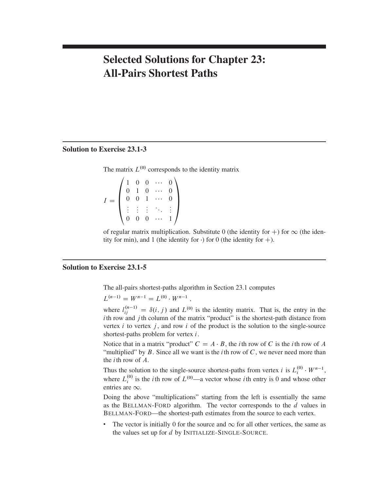# **Selected Solutions for Chapter 23: All-Pairs Shortest Paths**

## **Solution to Exercise 23.1-3**

The matrix  $L^{(0)}$  corresponds to the identity matrix

 $I = \begin{pmatrix} 1 & 0 & 0 & \cdots & 0 \\ 0 & 1 & 0 & \cdots & 0 \\ 0 & 0 & 1 & \cdots & 0 \end{pmatrix}$  $0 \quad 1 \quad 0 \quad \cdots \quad 0$  $0 \t 0 \t 1 \t \cdots \t 0$ :::::  $0 \t 0 \t 0 \t \cdots \t 1$  $\left\backslash\vphantom{\frac{a^{1}}{b^{1}}}\right\}$ 

of regular matrix multiplication. Substitute 0 (the identity for  $+)$  for  $\infty$  (the identity for min), and 1 (the identity for  $\cdot$ ) for 0 (the identity for +).

## **Solution to Exercise 23.1-5**

The all-pairs shortest-paths algorithm in Section 23.1 computes

 $L^{(n-1)} = W^{n-1} = L^{(0)} \cdot W^{n-1}$ ,

where  $l_{ij}^{(n-1)} = \delta(i, j)$  and  $L^{(0)}$  is the identity matrix. That is, the entry in the  $i$ th row and  $j$ th column of the matrix "product" is the shortest-path distance from vertex  $i$  to vertex  $j$ , and row  $i$  of the product is the solution to the single-source shortest-paths problem for vertex i.

Notice that in a matrix "product"  $C = A \cdot B$ , the *i*th row of C is the *i*th row of A "multiplied" by  $B$ . Since all we want is the *i*th row of  $C$ , we never need more than the *i*th row of  $A$ .

Thus the solution to the single-source shortest-paths from vertex *i* is  $L_i^{(0)}$  $i^{(0)} \cdot W^{n-1},$ where  $L_i^{(0)}$  $i_j^{(0)}$  is the *i*th row of  $L^{(0)}$ —a vector whose *i*th entry is 0 and whose other entries are  $\infty$ .

Doing the above "multiplications" starting from the left is essentially the same as the BELLMAN-FORD algorithm. The vector corresponds to the  $d$  values in BELLMAN-FORD—the shortest-path estimates from the source to each vertex.

The vector is initially 0 for the source and  $\infty$  for all other vertices, the same as the values set up for  $d$  by INITIALIZE-SINGLE-SOURCE.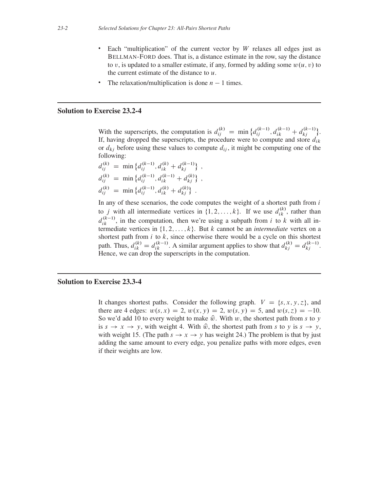- Each "multiplication" of the current vector by  $W$  relaxes all edges just as BELLMAN-FORD does. That is, a distance estimate in the row, say the distance to v, is updated to a smaller estimate, if any, formed by adding some  $w(u, v)$  to the current estimate of the distance to  $u$ .
- The relaxation/multiplication is done  $n 1$  times.

### **Solution to Exercise 23.2-4**

With the superscripts, the computation is  $d_{ij}^{(k)} = \min \{ d_{ij}^{(k-1)}, d_{ik}^{(k-1)} + d_{kj}^{(k-1)} \}.$ If, having dropped the superscripts, the procedure were to compute and store  $d_{ik}$ or  $d_{kj}$  before using these values to compute  $d_{ij}$ , it might be computing one of the following:

$$
d_{ij}^{(k)} = \min \{ d_{ij}^{(k-1)}, d_{ik}^{(k)} + d_{kj}^{(k-1)} \},
$$
  
\n
$$
d_{ij}^{(k)} = \min \{ d_{ij}^{(k-1)}, d_{ik}^{(k-1)} + d_{kj}^{(k)} \},
$$
  
\n
$$
d_{ij}^{(k)} = \min \{ d_{ij}^{(k-1)}, d_{ik}^{(k)} + d_{kj}^{(k)} \}.
$$

In any of these scenarios, the code computes the weight of a shortest path from  $i$ to *j* with all intermediate vertices in  $\{1, 2, ..., k\}$ . If we use  $d_{ik}^{(k)}$ , rather than  $d_{ik}^{(k-1)}$ , in the computation, then we're using a subpath from i to k with all intermediate vertices in  $\{1, 2, \ldots, k\}$ . But k cannot be an *intermediate* vertex on a shortest path from  $i$  to  $k$ , since otherwise there would be a cycle on this shortest path. Thus,  $d_{ik}^{(k)} = d_{ik}^{(k-1)}$ . A similar argument applies to show that  $d_{kj}^{(k)} = d_{kj}^{(k-1)}$ . Hence, we can drop the superscripts in the computation.

## **Solution to Exercise 23.3-4**

It changes shortest paths. Consider the following graph.  $V = \{s, x, y, z\}$ , and there are 4 edges:  $w(s, x) = 2$ ,  $w(x, y) = 2$ ,  $w(s, y) = 5$ , and  $w(s, z) = -10$ . So we'd add 10 to every weight to make  $\hat{w}$ . With w, the shortest path from s to y is  $s \to x \to y$ , with weight 4. With  $\hat{w}$ , the shortest path from s to y is  $s \to y$ , with weight 15. (The path  $s \to x \to y$  has weight 24.) The problem is that by just adding the same amount to every edge, you penalize paths with more edges, even if their weights are low.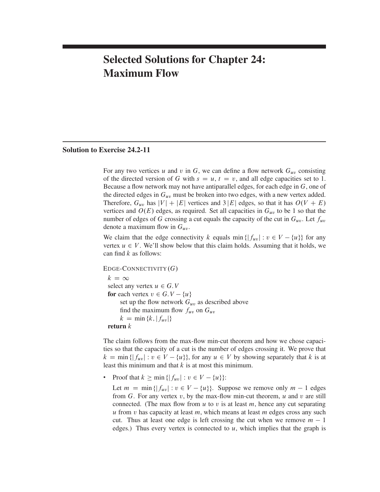# **Selected Solutions for Chapter 24: Maximum Flow**

## **Solution to Exercise 24.2-11**

For any two vertices u and v in G, we can define a flow network  $G_{uv}$  consisting of the directed version of G with  $s = u$ ,  $t = v$ , and all edge capacities set to 1. Because a flow network may not have antiparallel edges, for each edge in  $G$ , one of the directed edges in  $G_{uv}$  must be broken into two edges, with a new vertex added. Therefore,  $G_{uv}$  has  $|V| + |E|$  vertices and  $3|E|$  edges, so that it has  $O(V + E)$ vertices and  $O(E)$  edges, as required. Set all capacities in  $G_{uv}$  to be 1 so that the number of edges of G crossing a cut equals the capacity of the cut in  $G_{uv}$ . Let  $f_{uv}$ denote a maximum flow in  $G_{uv}$ .

We claim that the edge connectivity k equals min  $\{f_{uv}: v \in V - \{u\}\}\$  for any vertex  $u \in V$ . We'll show below that this claim holds. Assuming that it holds, we can find  $k$  as follows:

 $E$ DGE-CONNECTIVITY $(G)$ 

```
k = \inftyselect any vertex u \in G. V
for each vertex v \in G. V - \{u\}set up the flow network G_{uv} as described above
     find the maximum flow f_{uv} on G_{uv}k = \min \{k, |f_{uv}|\}return k
```
The claim follows from the max-flow min-cut theorem and how we chose capacities so that the capacity of a cut is the number of edges crossing it. We prove that  $k = \min\{|f_{uv}| : v \in V - \{u\}\}\$ , for any  $u \in V$  by showing separately that k is at least this minimum and that  $k$  is at most this minimum.

Proof that  $k \ge \min\{|f_{uv}| : v \in V - \{u\}\}$ :

Let  $m = \min\{|f_{uv}| : v \in V - \{u\}\}\)$ . Suppose we remove only  $m - 1$  edges from  $G$ . For any vertex  $v$ , by the max-flow min-cut theorem,  $u$  and  $v$  are still connected. (The max flow from  $u$  to  $v$  is at least  $m$ , hence any cut separating  $u$  from  $v$  has capacity at least  $m$ , which means at least  $m$  edges cross any such cut. Thus at least one edge is left crossing the cut when we remove  $m - 1$ edges.) Thus every vertex is connected to  $u$ , which implies that the graph is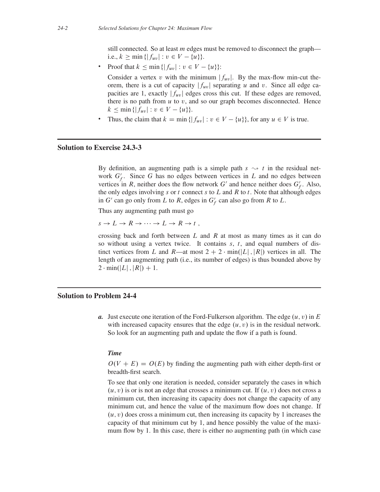still connected. So at least  $m$  edges must be removed to disconnect the graph i.e.,  $k \ge \min\{|f_{uv}| : v \in V - \{u\}\}.$ 

• Proof that  $k \le \min\{|f_{uv}| : v \in V - \{u\}\}$ :

Consider a vertex v with the minimum  $|f_{uv}|$ . By the max-flow min-cut theorem, there is a cut of capacity  $|f_{uv}|$  separating u and v. Since all edge capacities are 1, exactly  $|f_{uv}|$  edges cross this cut. If these edges are removed, there is no path from  $u$  to  $v$ , and so our graph becomes disconnected. Hence  $k \le \min\{|f_{uv}| : v \in V - \{u\}\}.$ 

Thus, the claim that  $k = \min\{|f_{uv}| : v \in V - \{u\}\}\)$ , for any  $u \in V$  is true.

## **Solution to Exercise 24.3-3**

By definition, an augmenting path is a simple path  $s \rightarrow t$  in the residual network  $G_f'$ . Since G has no edges between vertices in L and no edges between vertices in R, neither does the flow network G' and hence neither does  $G_f'$ . Also, the only edges involving s or t connect s to  $L$  and  $R$  to  $t$ . Note that although edges in G' can go only from L to R, edges in  $G_f$  can also go from R to L.

Thus any augmenting path must go

 $s \to L \to R \to \cdots \to L \to R \to t$ .

crossing back and forth between  $L$  and  $R$  at most as many times as it can do so without using a vertex twice. It contains  $s, t$ , and equal numbers of distinct vertices from L and R—at most  $2 + 2 \cdot \min(|L|, |R|)$  vertices in all. The length of an augmenting path (i.e., its number of edges) is thus bounded above by  $2 \cdot \min(|L|, |R|) + 1.$ 

#### **Solution to Problem 24-4**

*a.* Just execute one iteration of the Ford-Fulkerson algorithm. The edge  $(u, v)$  in E with increased capacity ensures that the edge  $(u, v)$  is in the residual network. So look for an augmenting path and update the flow if a path is found.

#### *Time*

 $O(V + E) = O(E)$  by finding the augmenting path with either depth-first or breadth-first search.

To see that only one iteration is needed, consider separately the cases in which  $(u, v)$  is or is not an edge that crosses a minimum cut. If  $(u, v)$  does not cross a minimum cut, then increasing its capacity does not change the capacity of any minimum cut, and hence the value of the maximum flow does not change. If  $(u, v)$  does cross a minimum cut, then increasing its capacity by 1 increases the capacity of that minimum cut by 1, and hence possibly the value of the maximum flow by 1. In this case, there is either no augmenting path (in which case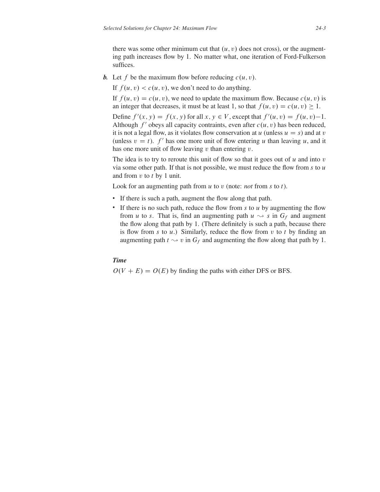there was some other minimum cut that  $(u, v)$  does not cross), or the augmenting path increases flow by 1. No matter what, one iteration of Ford-Fulkerson suffices.

*b.* Let f be the maximum flow before reducing  $c(u, v)$ .

If  $f(u, v) < c(u, v)$ , we don't need to do anything.

If  $f(u, v) = c(u, v)$ , we need to update the maximum flow. Because  $c(u, v)$  is an integer that decreases, it must be at least 1, so that  $f(u, v) = c(u, v) > 1$ .

Define  $f'(x, y) = f(x, y)$  for all  $x, y \in V$ , except that  $f'(u, v) = f(u, v) - 1$ . Although  $f'$  obeys all capacity contraints, even after  $c(u, v)$  has been reduced, it is not a legal flow, as it violates flow conservation at u (unless  $u = s$ ) and at v (unless  $v = t$ ).  $f'$  has one more unit of flow entering u than leaving u, and it has one more unit of flow leaving  $v$  than entering  $v$ .

The idea is to try to reroute this unit of flow so that it goes out of  $u$  and into  $v$ via some other path. If that is not possible, we must reduce the flow from  $s$  to  $u$ and from  $v$  to  $t$  by 1 unit.

Look for an augmenting path from  $u$  to  $v$  (note: *not* from  $s$  to  $t$ ).

- If there is such a path, augment the flow along that path.
- If there is no such path, reduce the flow from  $s$  to  $u$  by augmenting the flow from u to s. That is, find an augmenting path  $u \rightarrow s$  in  $G_f$  and augment the flow along that path by 1. (There definitely is such a path, because there is flow from  $s$  to  $u$ .) Similarly, reduce the flow from  $v$  to  $t$  by finding an augmenting path  $t \rightarrow v$  in  $G_f$  and augmenting the flow along that path by 1.

#### *Time*

 $O(V + E) = O(E)$  by finding the paths with either DFS or BFS.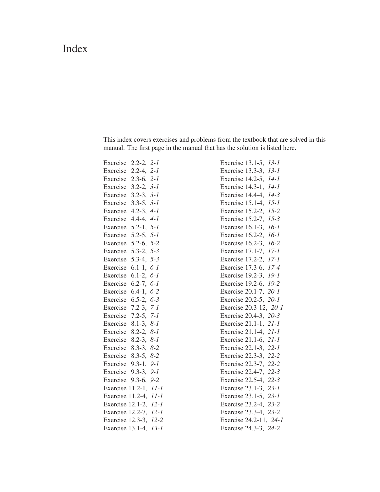## Index

This index covers exercises and problems from the textbook that are solved in this manual. The first page in the manual that has the solution is listed here.

| Exercise | $2.2 - 2,$  | 2-1         |
|----------|-------------|-------------|
| Exercise | $2.2 - 4,$  | $2 - 1$     |
| Exercise | $2.3-6,$    | $2 - 1$     |
| Exercise | $3.2 - 2,$  | $3 - 1$     |
| Exercise | $3.2 - 3,$  | $3 - 1$     |
| Exercise | $3.3 - 5,$  | $3 - 1$     |
| Exercise | $4.2 - 3,$  | $4 - 1$     |
| Exercise | $4.4 - 4,$  | $4 - 1$     |
| Exercise | $5.2 - 1,$  | $5 - 1$     |
| Exercise | $5.2 - 5,$  | $5 - 1$     |
| Exercise | $5.2-6,$    | $5 - 2$     |
| Exercise | $5.3 - 2,$  | $5 - 3$     |
| Exercise | $5.3-4,$    | $5 - 3$     |
| Exercise | $6.1 - 1,$  | 6-1         |
| Exercise | $6.1 - 2,$  | 6-1         |
| Exercise | $6.2 - 7,$  | 6-1         |
| Exercise | $6.4 - 1,$  | $6 - 2$     |
| Exercise | $6.5-2,$    | 6-3         |
| Exercise | $7.2 - 3,$  | $7 - 1$     |
| Exercise | $7.2 - 5,$  | $7 - 1$     |
| Exercise | $8.1 - 3,$  | 8-1         |
| Exercise | $8.2 - 2,$  | 8-1         |
| Exercise | $8.2 - 3,$  | 8-1         |
| Exercise | $8.3 - 3,$  | $8 - 2$     |
| Exercise | $8.3 - 5,$  | $8 - 2$     |
| Exercise | $9.3 - 1,$  | 9-1         |
| Exercise | $9.3 - 3,$  | $9 - 1$     |
| Exercise | $9.3 - 6,$  | $9 - 2$     |
| Exercise | $11.2 - 1,$ | $11 - 1$    |
| Exercise | $11.2 - 4,$ | $11 - 1$    |
| Exercise | $12.1 - 2,$ | 12-1        |
| Exercise | $12.2 - 7,$ | <i>12-1</i> |
| Exercise | $12.3 - 3,$ | $12 - 2$    |
| Exercise | $13.1 - 4,$ | $13 - 1$    |

Exercise 13.1-5, *13-1* Exercise 13.3-3, *13-1* Exercise 14.2-5, *14-1* Exercise 14.3-1, *14-1* Exercise 14.4-4, *14-3* Exercise 15.1-4, *15-1* Exercise 15.2-2, *15-2* Exercise 15.2-7, *15-3* Exercise 16.1-3, *16-1* Exercise 16.2-2, *16-1* Exercise 16.2-3, *16-2* Exercise 17.1-7, *17-1* Exercise 17.2-2, *17-1* Exercise 17.3-6, *17-4* Exercise 19.2-3, *19-1* Exercise 19.2-6, *19-2* Exercise 20.1-7, *20-1* Exercise 20.2-5, *20-1* Exercise 20.3-12, *20-1* Exercise 20.4-3, *20-3* Exercise 21.1-1, *21-1* Exercise 21.1-4, *21-1* Exercise 21.1-6, *21-1* Exercise 22.1-3, *22-1* Exercise 22.3-3, *22-2* Exercise 22.3-7, *22-2* Exercise 22.4-7, *22-3* Exercise 22.5-4, *22-3* Exercise 23.1-3, *23-1* Exercise 23.1-5, *23-1* Exercise 23.2-4, *23-2* Exercise 23.3-4, *23-2* Exercise 24.2-11, *24-1* Exercise 24.3-3, *24-2*